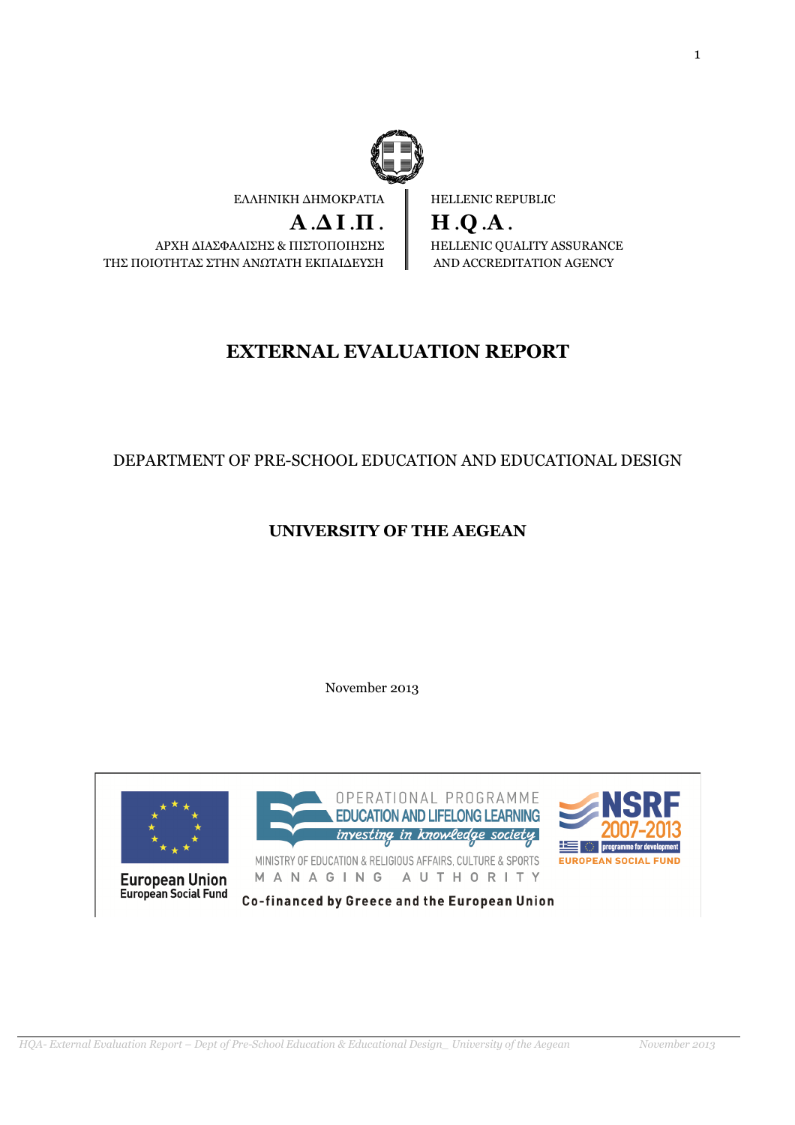

ΕΛΛΗΝΙΚΗ ∆ΗΜΟΚΡΑΤΙΑ

 $A.\Delta I.\Pi$ . ΑΡΧΗ ∆ΙΑΣΦΑΛΙΣΗΣ & ΠΙΣΤΟΠΟΙΗΣΗΣ ΤΗΣ ΠΟΙΟΤΗΤΑΣ ΣΤΗΝ ΑΝΩΤΑΤΗ ΕΚΠΑΙ∆ΕΥΣΗ

HELLENIC REPUBLIC

H .Q .A . HELLENIC QUALITY ASSURANCE AND ACCREDITATION AGENCY

# EXTERNAL EVALUATION REPORT

# DEPARTMENT OF PRE-SCHOOL EDUCATION AND EDUCATIONAL DESIGN

# UNIVERSITY OF THE AEGEAN

November 2013

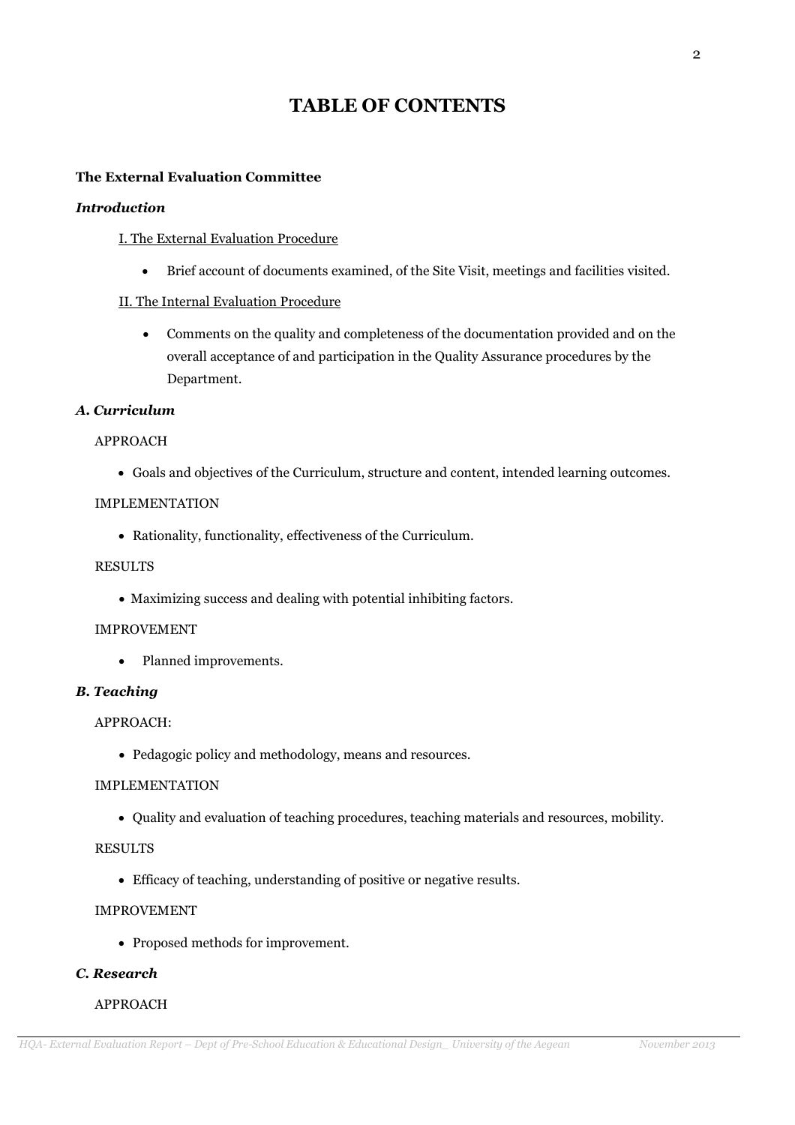# TABLE OF CONTENTS

## The External Evaluation Committee

### Introduction

## I. The External Evaluation Procedure

• Brief account of documents examined, of the Site Visit, meetings and facilities visited.

## II. The Internal Evaluation Procedure

• Comments on the quality and completeness of the documentation provided and on the overall acceptance of and participation in the Quality Assurance procedures by the Department.

### Α. Curriculum

### APPROACH

• Goals and objectives of the Curriculum, structure and content, intended learning outcomes.

### IMPLEMENTATION

• Rationality, functionality, effectiveness of the Curriculum.

### RESULTS

• Maximizing success and dealing with potential inhibiting factors.

### IMPROVEMENT

• Planned improvements.

### B. Teaching

# APPROACH:

• Pedagogic policy and methodology, means and resources.

## IMPLEMENTATION

• Quality and evaluation of teaching procedures, teaching materials and resources, mobility.

### RESULTS

• Efficacy of teaching, understanding of positive or negative results.

### IMPROVEMENT

• Proposed methods for improvement.

## C. Research

## APPROACH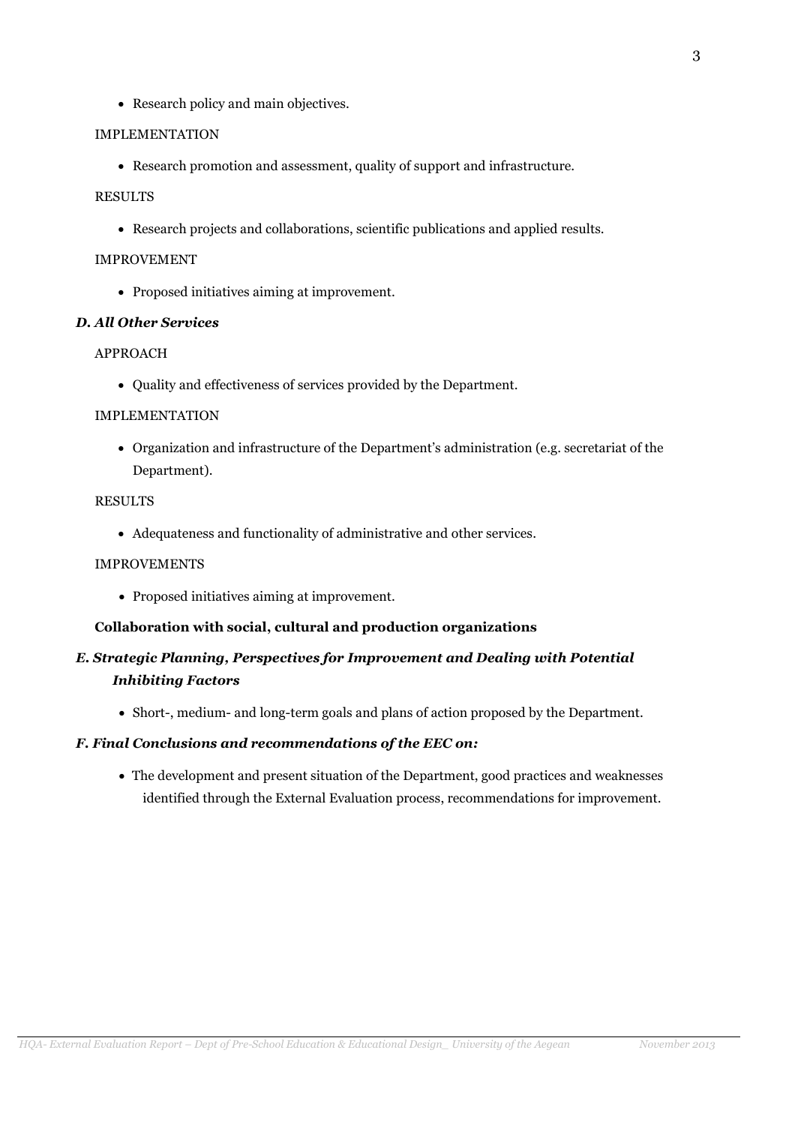• Research policy and main objectives.

#### IMPLEMENTATION

• Research promotion and assessment, quality of support and infrastructure.

#### RESULTS

• Research projects and collaborations, scientific publications and applied results.

### IMPROVEMENT

• Proposed initiatives aiming at improvement.

### D. All Other Services

#### APPROACH

• Quality and effectiveness of services provided by the Department.

#### IMPLEMENTATION

• Organization and infrastructure of the Department's administration (e.g. secretariat of the Department).

### RESULTS

• Adequateness and functionality of administrative and other services.

### IMPROVEMENTS

• Proposed initiatives aiming at improvement.

### Collaboration with social, cultural and production organizations

# E. Strategic Planning, Perspectives for Improvement and Dealing with Potential Inhibiting Factors

• Short-, medium- and long-term goals and plans of action proposed by the Department.

### F. Final Conclusions and recommendations of the EEC on:

• The development and present situation of the Department, good practices and weaknesses identified through the External Evaluation process, recommendations for improvement.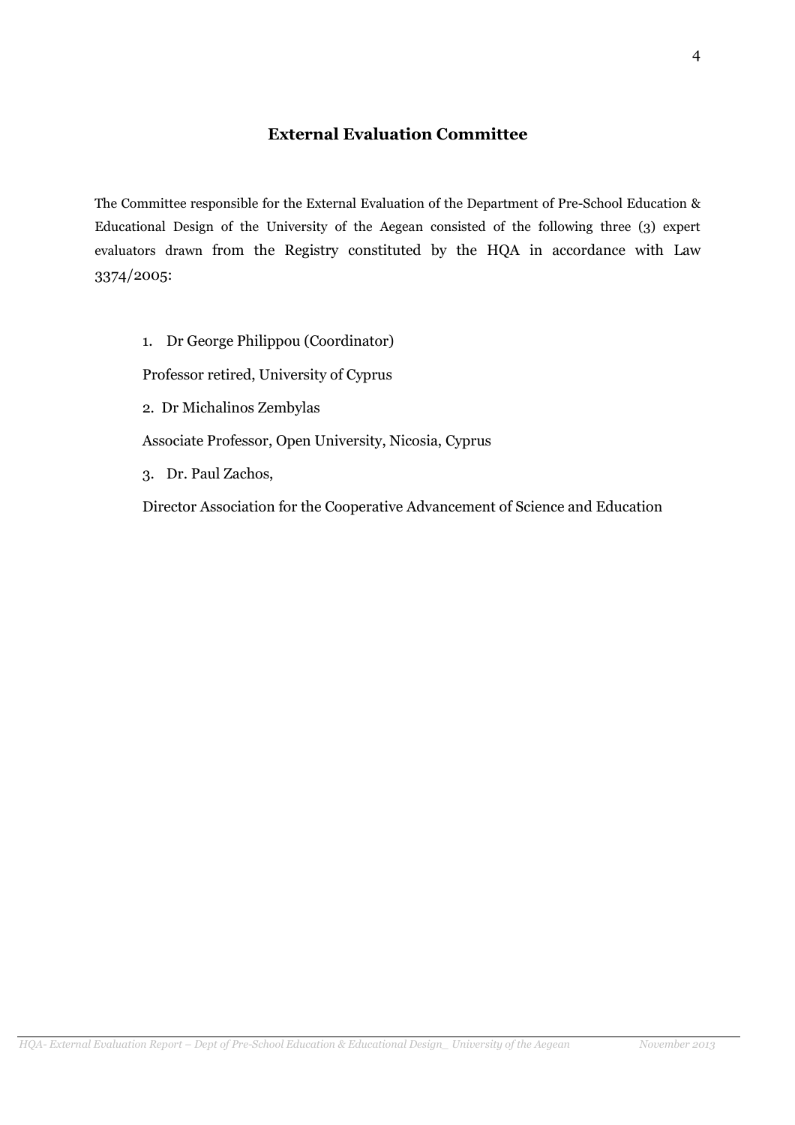# External Evaluation Committee

The Committee responsible for the External Evaluation of the Department of Pre-School Education & Educational Design of the University of the Aegean consisted of the following three (3) expert evaluators drawn from the Registry constituted by the HQA in accordance with Law 3374/2005:

1. Dr George Philippou (Coordinator)

Professor retired, University of Cyprus

2. Dr Michalinos Zembylas

Associate Professor, Open University, Nicosia, Cyprus

3. Dr. Paul Zachos,

Director Association for the Cooperative Advancement of Science and Education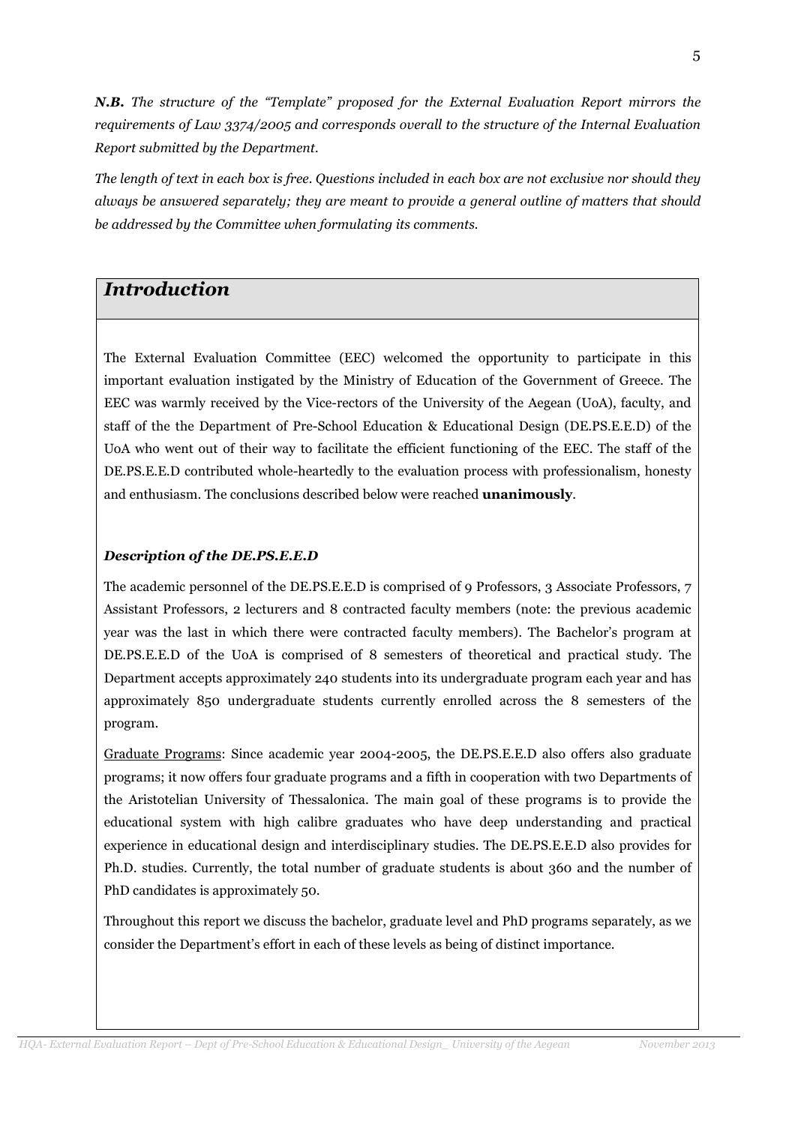N.B. The structure of the "Template" proposed for the External Evaluation Report mirrors the requirements of Law 3374/2005 and corresponds overall to the structure of the Internal Evaluation Report submitted by the Department.

The length of text in each box is free. Questions included in each box are not exclusive nor should they always be answered separately; they are meant to provide a general outline of matters that should be addressed by the Committee when formulating its comments.

# Introduction

The External Evaluation Committee (EEC) welcomed the opportunity to participate in this important evaluation instigated by the Ministry of Education of the Government of Greece. The EEC was warmly received by the Vice-rectors of the University of the Aegean (UoA), faculty, and staff of the the Department of Pre-School Education & Educational Design (DE.PS.E.E.D) of the UoA who went out of their way to facilitate the efficient functioning of the EEC. The staff of the DE.PS.E.E.D contributed whole-heartedly to the evaluation process with professionalism, honesty and enthusiasm. The conclusions described below were reached **unanimously**.

## Description of the DE.PS.E.E.D

The academic personnel of the DE.PS.E.E.D is comprised of 9 Professors, 3 Associate Professors, 7 Assistant Professors, 2 lecturers and 8 contracted faculty members (note: the previous academic year was the last in which there were contracted faculty members). The Bachelor's program at DE.PS.E.E.D of the UoA is comprised of 8 semesters of theoretical and practical study. The Department accepts approximately 240 students into its undergraduate program each year and has approximately 850 undergraduate students currently enrolled across the 8 semesters of the program.

Graduate Programs: Since academic year 2004-2005, the DE.PS.E.E.D also offers also graduate programs; it now offers four graduate programs and a fifth in cooperation with two Departments of the Aristotelian University of Thessalonica. The main goal of these programs is to provide the educational system with high calibre graduates who have deep understanding and practical experience in educational design and interdisciplinary studies. The DE.PS.E.E.D also provides for Ph.D. studies. Currently, the total number of graduate students is about 360 and the number of PhD candidates is approximately 50.

Throughout this report we discuss the bachelor, graduate level and PhD programs separately, as we consider the Department's effort in each of these levels as being of distinct importance.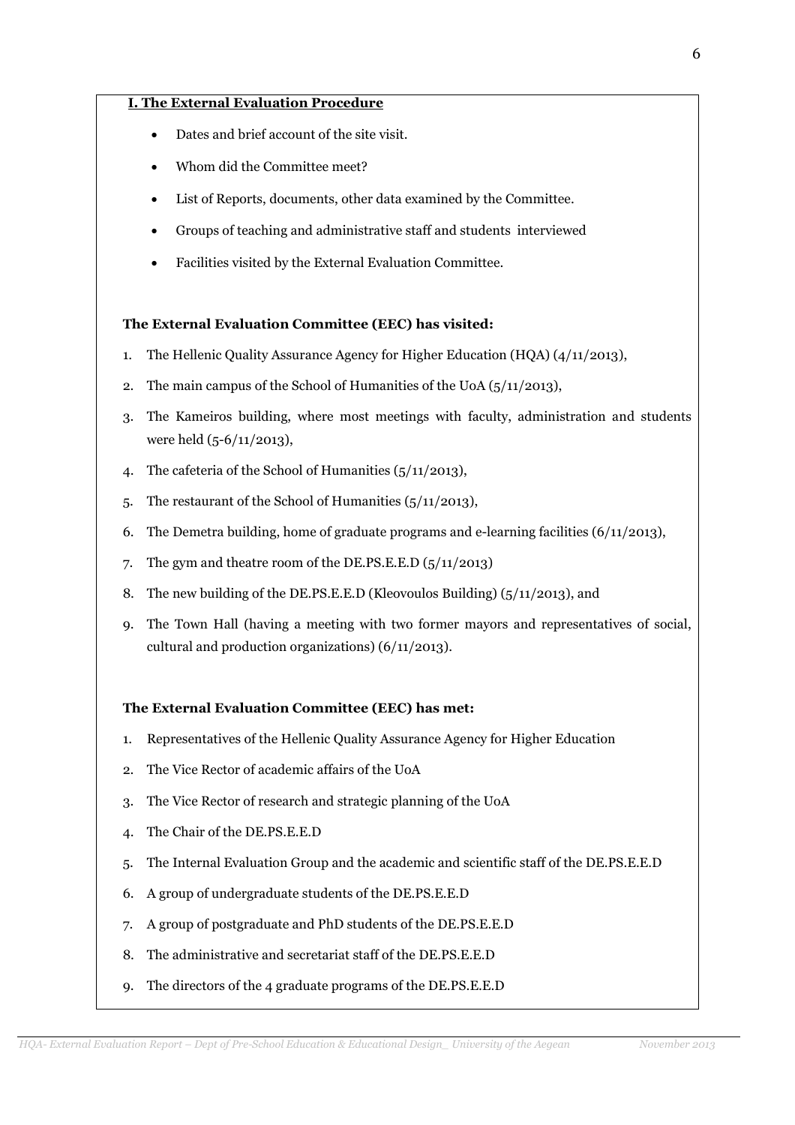### I. The External Evaluation Procedure

- Dates and brief account of the site visit.
- Whom did the Committee meet?
- List of Reports, documents, other data examined by the Committee.
- Groups of teaching and administrative staff and students interviewed
- Facilities visited by the External Evaluation Committee.

#### The External Evaluation Committee (EEC) has visited:

- 1. The Hellenic Quality Assurance Agency for Higher Education (HQA) (4/11/2013),
- 2. The main campus of the School of Humanities of the UoA (5/11/2013),
- 3. The Kameiros building, where most meetings with faculty, administration and students were held (5-6/11/2013),
- 4. The cafeteria of the School of Humanities (5/11/2013),
- 5. The restaurant of the School of Humanities (5/11/2013),
- 6. The Demetra building, home of graduate programs and e-learning facilities  $(6/11/2013)$ ,
- 7. The gym and theatre room of the DE.PS.E.E.D (5/11/2013)
- 8. The new building of the DE.PS.E.E.D (Kleovoulos Building) (5/11/2013), and
- 9. The Town Hall (having a meeting with two former mayors and representatives of social, cultural and production organizations) (6/11/2013).

#### The External Evaluation Committee (EEC) has met:

- 1. Representatives of the Hellenic Quality Assurance Agency for Higher Education
- 2. The Vice Rector of academic affairs of the UoA
- 3. The Vice Rector of research and strategic planning of the UoA
- 4. The Chair of the DE.PS.E.E.D
- 5. The Internal Evaluation Group and the academic and scientific staff of the DE.PS.E.E.D
- 6. A group of undergraduate students of the DE.PS.E.E.D
- 7. A group of postgraduate and PhD students of the DE.PS.E.E.D
- 8. The administrative and secretariat staff of the DE.PS.E.E.D
- 9. The directors of the 4 graduate programs of the DE.PS.E.E.D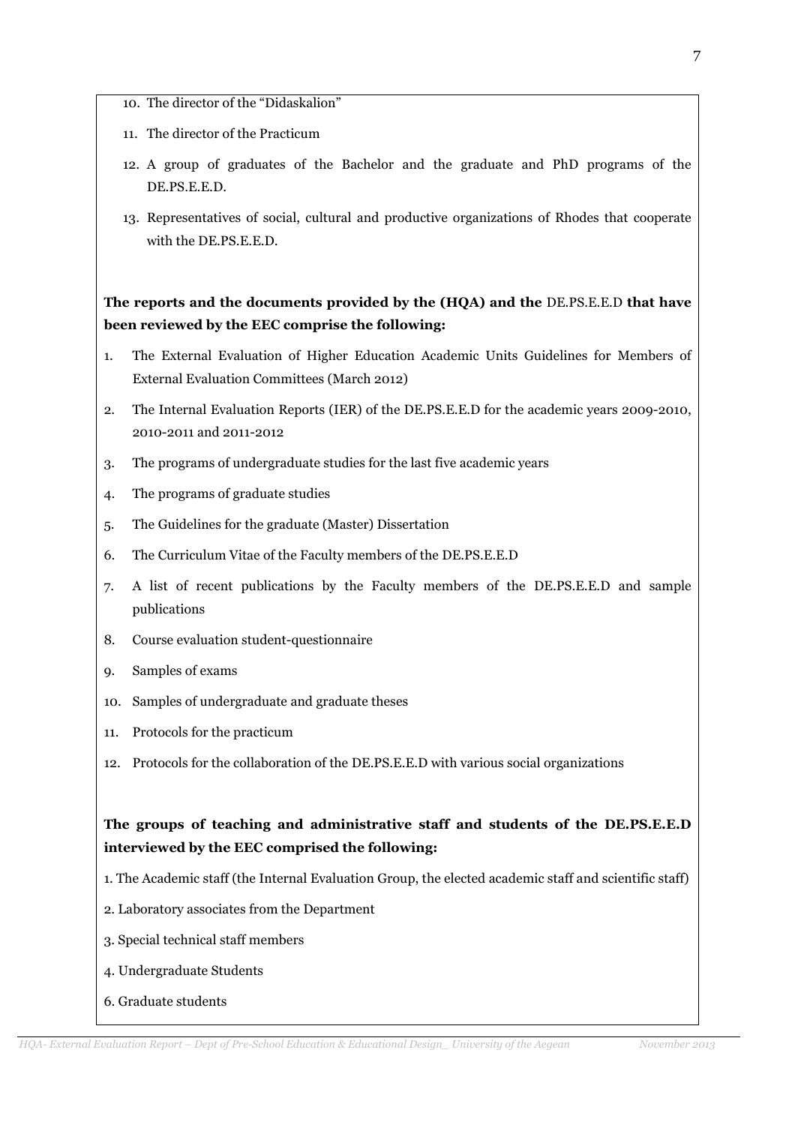- 10. The director of the "Didaskalion"
- 11. The director of the Practicum
- 12. A group of graduates of the Bachelor and the graduate and PhD programs of the DE.PS.E.E.D.
- 13. Representatives of social, cultural and productive organizations of Rhodes that cooperate with the DE.PS.E.E.D.

The reports and the documents provided by the (HQA) and the DE.PS.E.E.D that have been reviewed by the EEC comprise the following:

- 1. The External Evaluation of Higher Education Academic Units Guidelines for Members of External Evaluation Committees (March 2012)
- 2. The Internal Evaluation Reports (IER) of the DE.PS.E.E.D for the academic years 2009-2010, 2010-2011 and 2011-2012
- 3. The programs of undergraduate studies for the last five academic years
- 4. The programs of graduate studies
- 5. The Guidelines for the graduate (Master) Dissertation
- 6. The Curriculum Vitae of the Faculty members of the DE.PS.E.E.D
- 7. A list of recent publications by the Faculty members of the DE.PS.E.E.D and sample publications
- 8. Course evaluation student-questionnaire
- 9. Samples of exams
- 10. Samples of undergraduate and graduate theses
- 11. Protocols for the practicum
- 12. Protocols for the collaboration of the DE.PS.E.E.D with various social organizations

# The groups of teaching and administrative staff and students of the DE.PS.E.E.D interviewed by the EEC comprised the following:

- 1. The Academic staff (the Internal Evaluation Group, the elected academic staff and scientific staff)
- 2. Laboratory associates from the Department
- 3. Special technical staff members
- 4. Undergraduate Students
- 6. Graduate students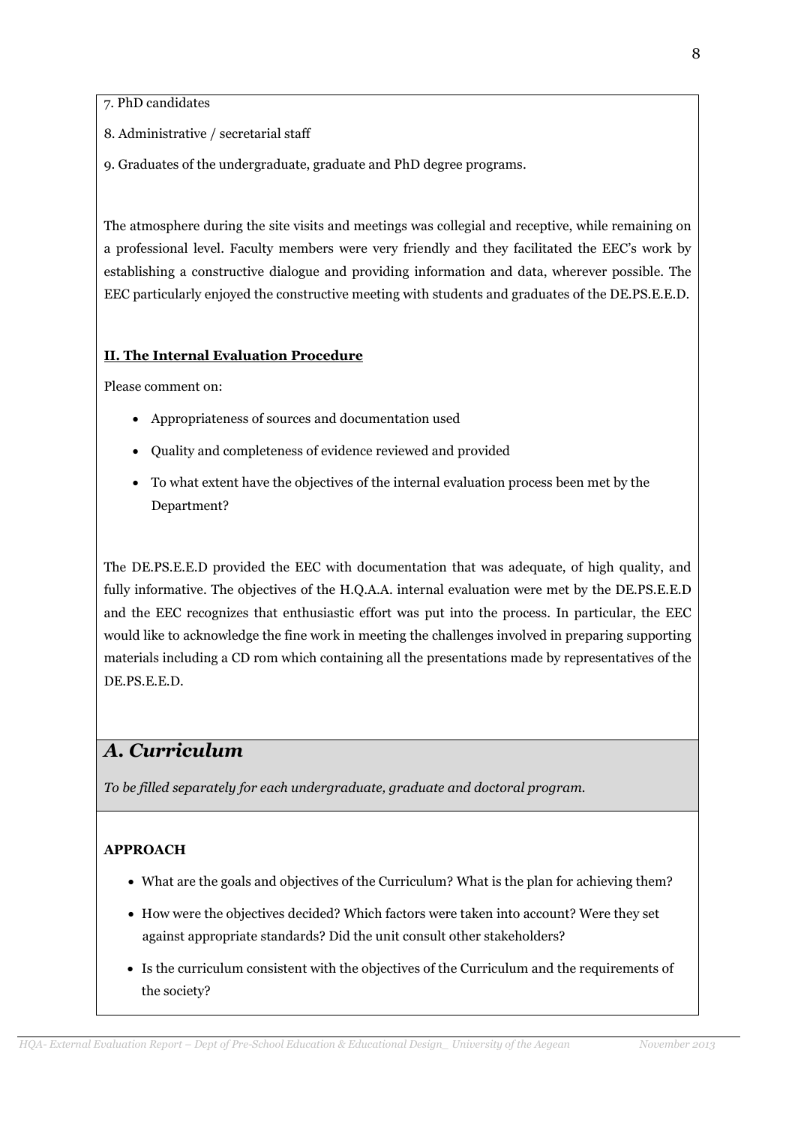7. PhD candidates

- 8. Administrative / secretarial staff
- 9. Graduates of the undergraduate, graduate and PhD degree programs.

The atmosphere during the site visits and meetings was collegial and receptive, while remaining on a professional level. Faculty members were very friendly and they facilitated the EEC's work by establishing a constructive dialogue and providing information and data, wherever possible. The EEC particularly enjoyed the constructive meeting with students and graduates of the DE.PS.E.E.D.

## II. The Internal Evaluation Procedure

Please comment on:

- Appropriateness of sources and documentation used
- Quality and completeness of evidence reviewed and provided
- To what extent have the objectives of the internal evaluation process been met by the Department?

The DE.PS.E.E.D provided the EEC with documentation that was adequate, of high quality, and fully informative. The objectives of the H.Q.A.A. internal evaluation were met by the DE.PS.E.E.D and the EEC recognizes that enthusiastic effort was put into the process. In particular, the EEC would like to acknowledge the fine work in meeting the challenges involved in preparing supporting materials including a CD rom which containing all the presentations made by representatives of the DE.PS.E.E.D.

# Α. Curriculum

To be filled separately for each undergraduate, graduate and doctoral program.

## APPROACH

- What are the goals and objectives of the Curriculum? What is the plan for achieving them?
- How were the objectives decided? Which factors were taken into account? Were they set against appropriate standards? Did the unit consult other stakeholders?
- Is the curriculum consistent with the objectives of the Curriculum and the requirements of the society?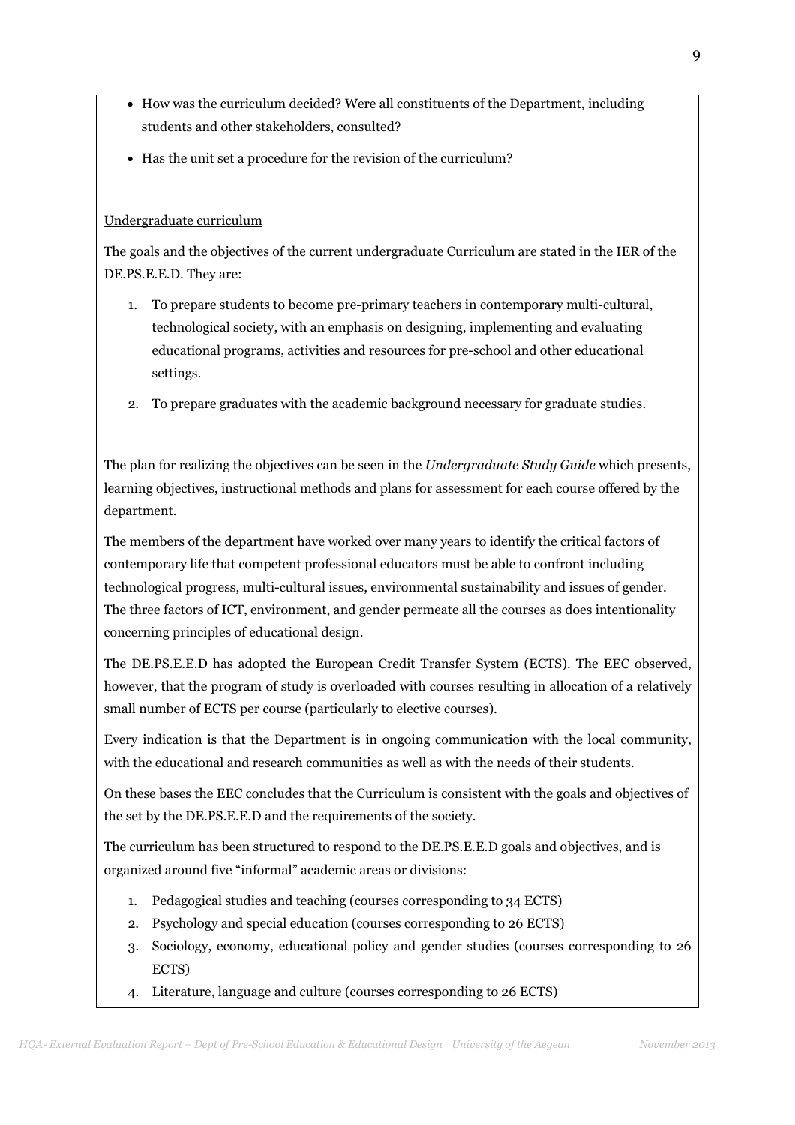- How was the curriculum decided? Were all constituents of the Department, including students and other stakeholders, consulted?
- Has the unit set a procedure for the revision of the curriculum?

## Undergraduate curriculum

The goals and the objectives of the current undergraduate Curriculum are stated in the IER of the DE.PS.E.E.D. They are:

- 1. To prepare students to become pre-primary teachers in contemporary multi-cultural, technological society, with an emphasis on designing, implementing and evaluating educational programs, activities and resources for pre-school and other educational settings.
- 2. To prepare graduates with the academic background necessary for graduate studies.

The plan for realizing the objectives can be seen in the Undergraduate Study Guide which presents, learning objectives, instructional methods and plans for assessment for each course offered by the department.

The members of the department have worked over many years to identify the critical factors of contemporary life that competent professional educators must be able to confront including technological progress, multi-cultural issues, environmental sustainability and issues of gender. The three factors of ICT, environment, and gender permeate all the courses as does intentionality concerning principles of educational design.

The DE.PS.E.E.D has adopted the European Credit Transfer System (ECTS). The EEC observed, however, that the program of study is overloaded with courses resulting in allocation of a relatively small number of ECTS per course (particularly to elective courses).

Every indication is that the Department is in ongoing communication with the local community, with the educational and research communities as well as with the needs of their students.

On these bases the EEC concludes that the Curriculum is consistent with the goals and objectives of the set by the DE.PS.E.E.D and the requirements of the society.

The curriculum has been structured to respond to the DE.PS.E.E.D goals and objectives, and is organized around five "informal" academic areas or divisions:

- 1. Pedagogical studies and teaching (courses corresponding to 34 ECTS)
- 2. Psychology and special education (courses corresponding to 26 ECTS)
- 3. Sociology, economy, educational policy and gender studies (courses corresponding to 26 ECTS)
- 4. Literature, language and culture (courses corresponding to 26 ECTS)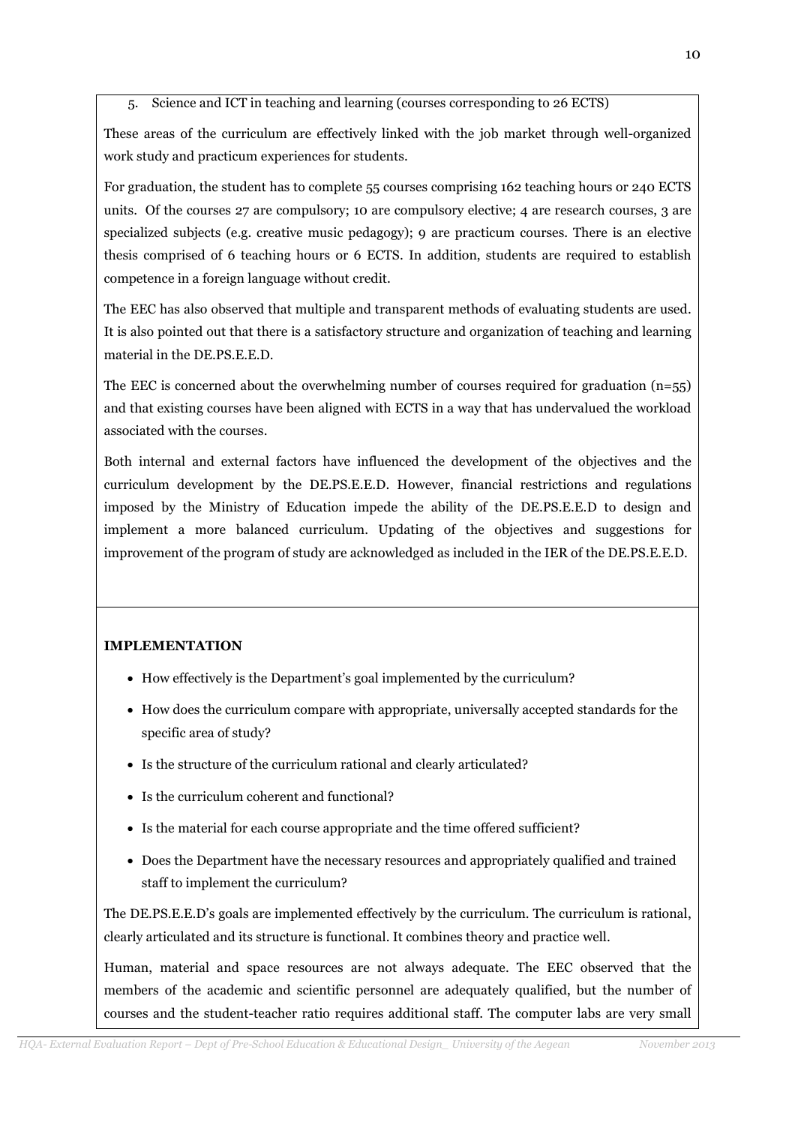5. Science and ICT in teaching and learning (courses corresponding to 26 ECTS)

These areas of the curriculum are effectively linked with the job market through well-organized work study and practicum experiences for students.

For graduation, the student has to complete 55 courses comprising 162 teaching hours or 240 ECTS units. Of the courses 27 are compulsory; 10 are compulsory elective; 4 are research courses, 3 are specialized subjects (e.g. creative music pedagogy); 9 are practicum courses. There is an elective thesis comprised of 6 teaching hours or 6 ECTS. In addition, students are required to establish competence in a foreign language without credit.

The EEC has also observed that multiple and transparent methods of evaluating students are used. It is also pointed out that there is a satisfactory structure and organization of teaching and learning material in the DE.PS.E.E.D.

The EEC is concerned about the overwhelming number of courses required for graduation  $(n=55)$ and that existing courses have been aligned with ECTS in a way that has undervalued the workload associated with the courses.

Both internal and external factors have influenced the development of the objectives and the curriculum development by the DE.PS.E.E.D. However, financial restrictions and regulations imposed by the Ministry of Education impede the ability of the DE.PS.E.E.D to design and implement a more balanced curriculum. Updating of the objectives and suggestions for improvement of the program of study are acknowledged as included in the IER of the DE.PS.E.E.D.

## IMPLEMENTATION

- How effectively is the Department's goal implemented by the curriculum?
- How does the curriculum compare with appropriate, universally accepted standards for the specific area of study?
- Is the structure of the curriculum rational and clearly articulated?
- Is the curriculum coherent and functional?
- Is the material for each course appropriate and the time offered sufficient?
- Does the Department have the necessary resources and appropriately qualified and trained staff to implement the curriculum?

The DE.PS.E.E.D's goals are implemented effectively by the curriculum. The curriculum is rational, clearly articulated and its structure is functional. It combines theory and practice well.

Human, material and space resources are not always adequate. The EEC observed that the members of the academic and scientific personnel are adequately qualified, but the number of courses and the student-teacher ratio requires additional staff. The computer labs are very small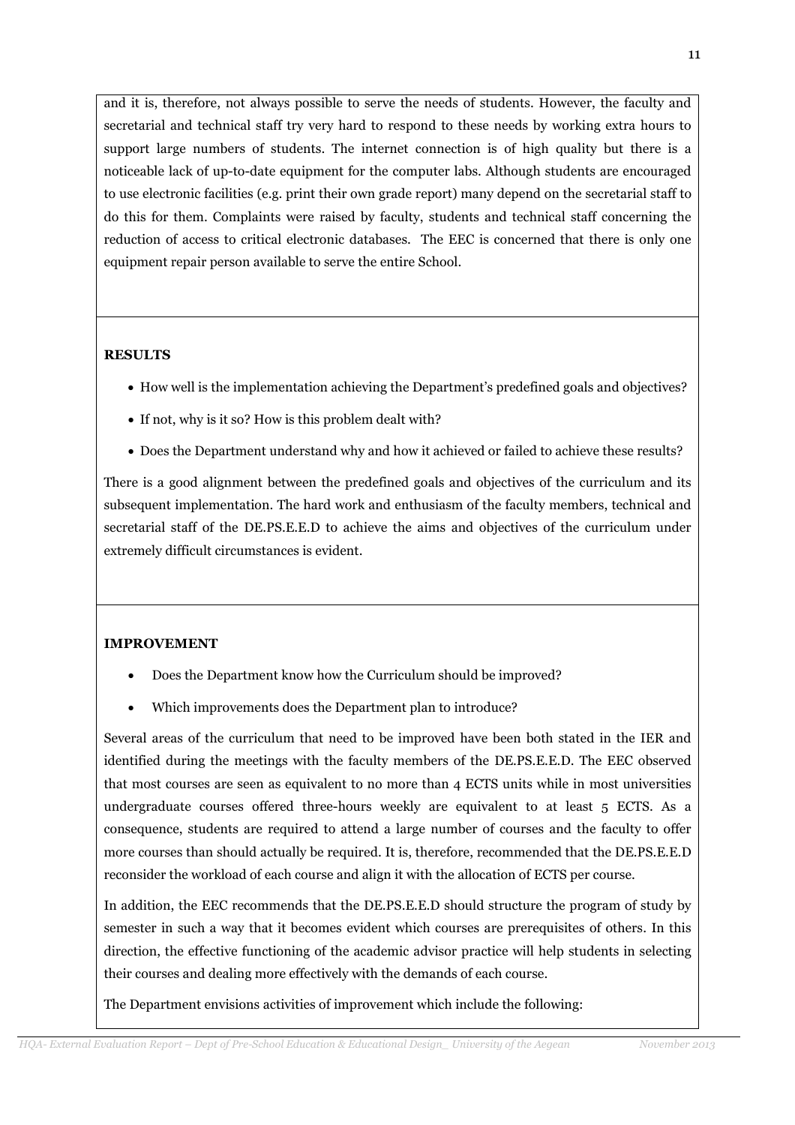and it is, therefore, not always possible to serve the needs of students. However, the faculty and secretarial and technical staff try very hard to respond to these needs by working extra hours to support large numbers of students. The internet connection is of high quality but there is a noticeable lack of up-to-date equipment for the computer labs. Although students are encouraged to use electronic facilities (e.g. print their own grade report) many depend on the secretarial staff to do this for them. Complaints were raised by faculty, students and technical staff concerning the reduction of access to critical electronic databases. The EEC is concerned that there is only one equipment repair person available to serve the entire School.

# RESULTS

- How well is the implementation achieving the Department's predefined goals and objectives?
- If not, why is it so? How is this problem dealt with?
- Does the Department understand why and how it achieved or failed to achieve these results?

There is a good alignment between the predefined goals and objectives of the curriculum and its subsequent implementation. The hard work and enthusiasm of the faculty members, technical and secretarial staff of the DE.PS.E.E.D to achieve the aims and objectives of the curriculum under extremely difficult circumstances is evident.

# IMPROVEMENT

- Does the Department know how the Curriculum should be improved?
- Which improvements does the Department plan to introduce?

Several areas of the curriculum that need to be improved have been both stated in the IER and identified during the meetings with the faculty members of the DE.PS.E.E.D. The EEC observed that most courses are seen as equivalent to no more than 4 ECTS units while in most universities undergraduate courses offered three-hours weekly are equivalent to at least 5 ECTS. As a consequence, students are required to attend a large number of courses and the faculty to offer more courses than should actually be required. It is, therefore, recommended that the DE.PS.E.E.D reconsider the workload of each course and align it with the allocation of ECTS per course.

In addition, the EEC recommends that the DE.PS.E.E.D should structure the program of study by semester in such a way that it becomes evident which courses are prerequisites of others. In this direction, the effective functioning of the academic advisor practice will help students in selecting their courses and dealing more effectively with the demands of each course.

The Department envisions activities of improvement which include the following: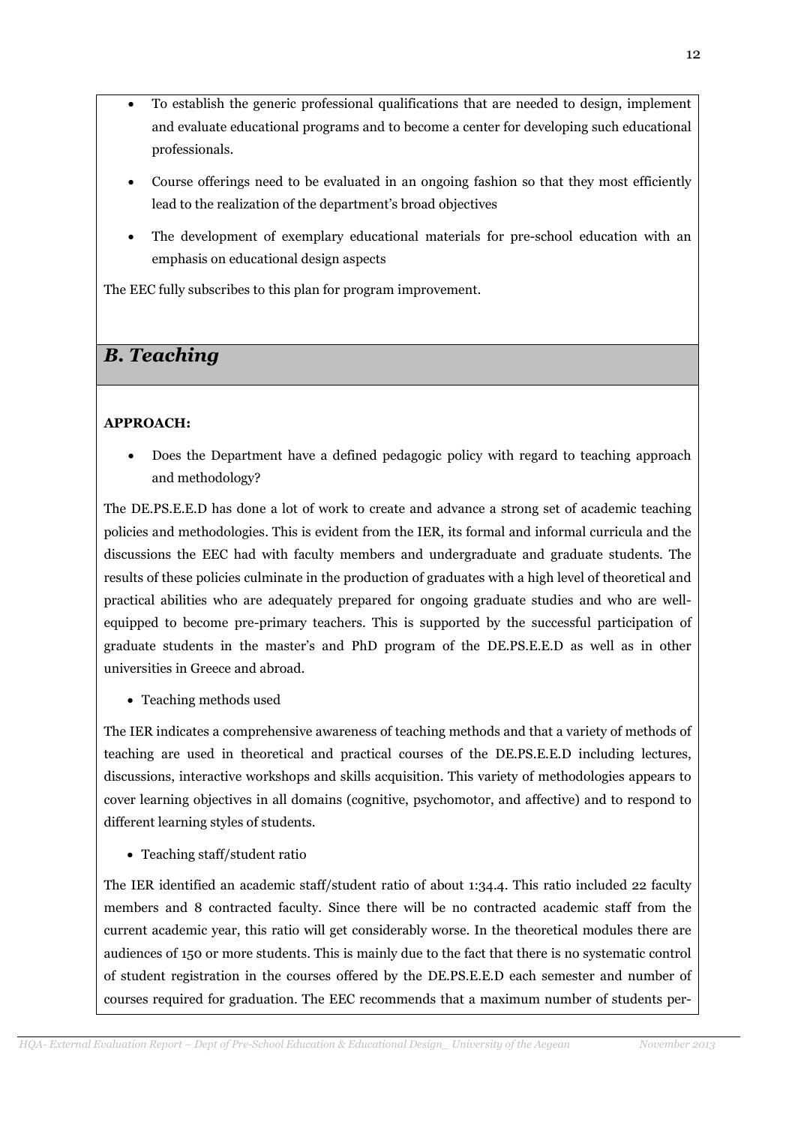- To establish the generic professional qualifications that are needed to design, implement and evaluate educational programs and to become a center for developing such educational professionals.
- Course offerings need to be evaluated in an ongoing fashion so that they most efficiently lead to the realization of the department's broad objectives
- The development of exemplary educational materials for pre-school education with an emphasis on educational design aspects

The EEC fully subscribes to this plan for program improvement.

# B. Teaching

## APPROACH:

• Does the Department have a defined pedagogic policy with regard to teaching approach and methodology?

The DE.PS.E.E.D has done a lot of work to create and advance a strong set of academic teaching policies and methodologies. This is evident from the IER, its formal and informal curricula and the discussions the EEC had with faculty members and undergraduate and graduate students. The results of these policies culminate in the production of graduates with a high level of theoretical and practical abilities who are adequately prepared for ongoing graduate studies and who are wellequipped to become pre-primary teachers. This is supported by the successful participation of graduate students in the master's and PhD program of the DE.PS.E.E.D as well as in other universities in Greece and abroad.

• Teaching methods used

The IER indicates a comprehensive awareness of teaching methods and that a variety of methods of teaching are used in theoretical and practical courses of the DE.PS.E.E.D including lectures, discussions, interactive workshops and skills acquisition. This variety of methodologies appears to cover learning objectives in all domains (cognitive, psychomotor, and affective) and to respond to different learning styles of students.

• Teaching staff/student ratio

The IER identified an academic staff/student ratio of about 1:34.4. This ratio included 22 faculty members and 8 contracted faculty. Since there will be no contracted academic staff from the current academic year, this ratio will get considerably worse. In the theoretical modules there are audiences of 150 or more students. This is mainly due to the fact that there is no systematic control of student registration in the courses offered by the DE.PS.E.E.D each semester and number of courses required for graduation. The EEC recommends that a maximum number of students per-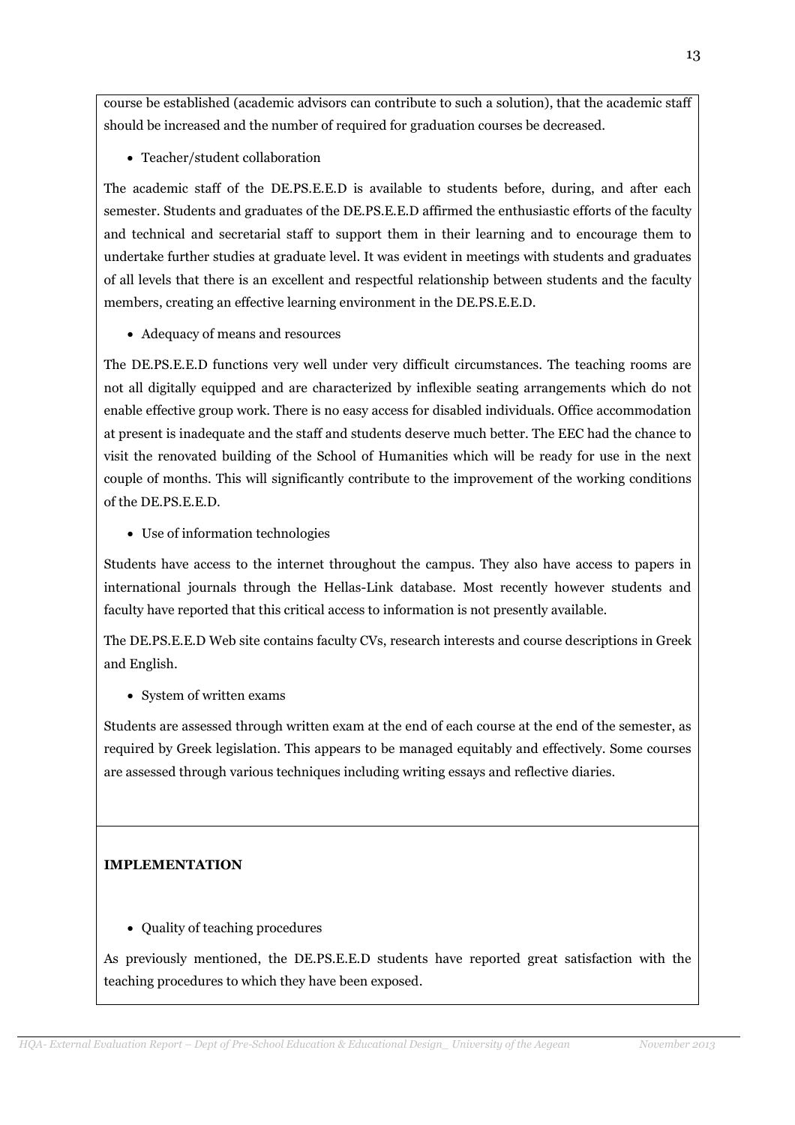course be established (academic advisors can contribute to such a solution), that the academic staff should be increased and the number of required for graduation courses be decreased.

• Teacher/student collaboration

The academic staff of the DE.PS.E.E.D is available to students before, during, and after each semester. Students and graduates of the DE.PS.E.E.D affirmed the enthusiastic efforts of the faculty and technical and secretarial staff to support them in their learning and to encourage them to undertake further studies at graduate level. It was evident in meetings with students and graduates of all levels that there is an excellent and respectful relationship between students and the faculty members, creating an effective learning environment in the DE.PS.E.E.D.

• Adequacy of means and resources

The DE.PS.E.E.D functions very well under very difficult circumstances. The teaching rooms are not all digitally equipped and are characterized by inflexible seating arrangements which do not enable effective group work. There is no easy access for disabled individuals. Office accommodation at present is inadequate and the staff and students deserve much better. The EEC had the chance to visit the renovated building of the School of Humanities which will be ready for use in the next couple of months. This will significantly contribute to the improvement of the working conditions of the DE.PS.E.E.D.

• Use of information technologies

Students have access to the internet throughout the campus. They also have access to papers in international journals through the Hellas-Link database. Most recently however students and faculty have reported that this critical access to information is not presently available.

The DE.PS.E.E.D Web site contains faculty CVs, research interests and course descriptions in Greek and English.

• System of written exams

Students are assessed through written exam at the end of each course at the end of the semester, as required by Greek legislation. This appears to be managed equitably and effectively. Some courses are assessed through various techniques including writing essays and reflective diaries.

# IMPLEMENTATION

• Quality of teaching procedures

As previously mentioned, the DE.PS.E.E.D students have reported great satisfaction with the teaching procedures to which they have been exposed.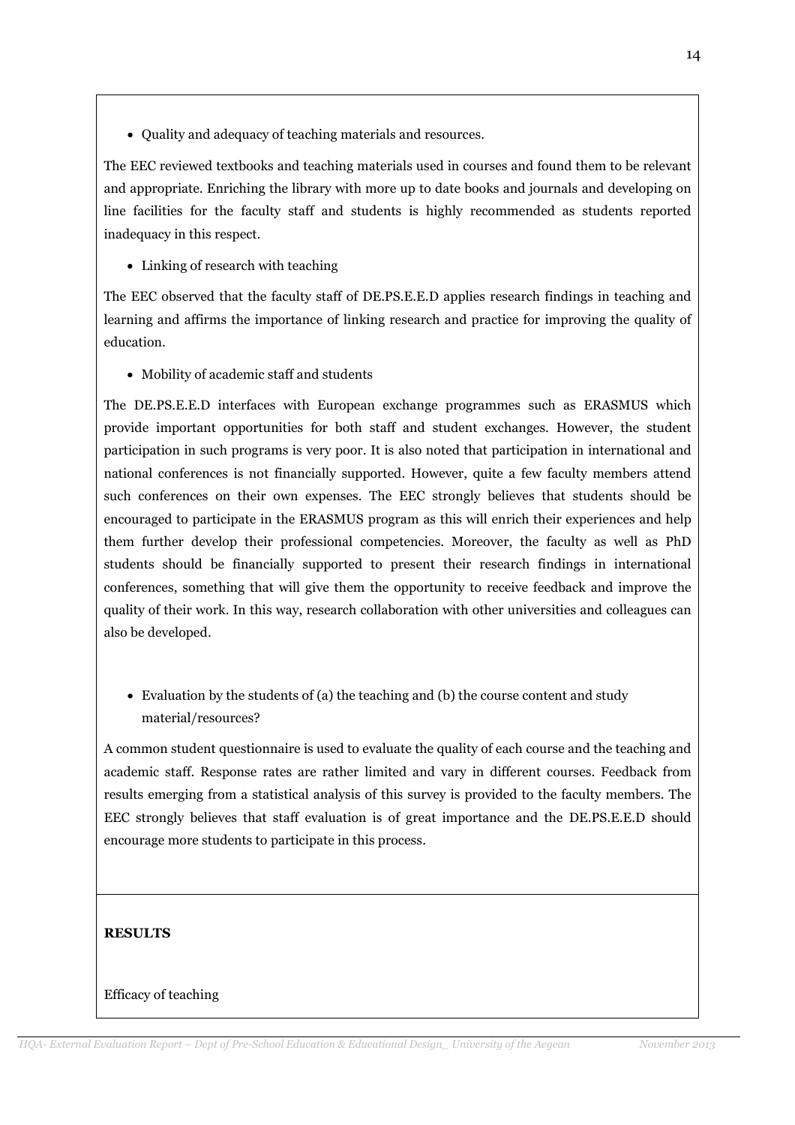• Quality and adequacy of teaching materials and resources.

The EEC reviewed textbooks and teaching materials used in courses and found them to be relevant and appropriate. Enriching the library with more up to date books and journals and developing on line facilities for the faculty staff and students is highly recommended as students reported inadequacy in this respect.

• Linking of research with teaching

The EEC observed that the faculty staff of DE.PS.E.E.D applies research findings in teaching and learning and affirms the importance of linking research and practice for improving the quality of education.

• Mobility of academic staff and students

The DE.PS.E.E.D interfaces with European exchange programmes such as ERASMUS which provide important opportunities for both staff and student exchanges. However, the student participation in such programs is very poor. It is also noted that participation in international and national conferences is not financially supported. However, quite a few faculty members attend such conferences on their own expenses. The EEC strongly believes that students should be encouraged to participate in the ERASMUS program as this will enrich their experiences and help them further develop their professional competencies. Moreover, the faculty as well as PhD students should be financially supported to present their research findings in international conferences, something that will give them the opportunity to receive feedback and improve the quality of their work. In this way, research collaboration with other universities and colleagues can also be developed.

• Evaluation by the students of (a) the teaching and (b) the course content and study material/resources?

A common student questionnaire is used to evaluate the quality of each course and the teaching and academic staff. Response rates are rather limited and vary in different courses. Feedback from results emerging from a statistical analysis of this survey is provided to the faculty members. The EEC strongly believes that staff evaluation is of great importance and the DE.PS.E.E.D should encourage more students to participate in this process.

# **RESULTS**

## Efficacy of teaching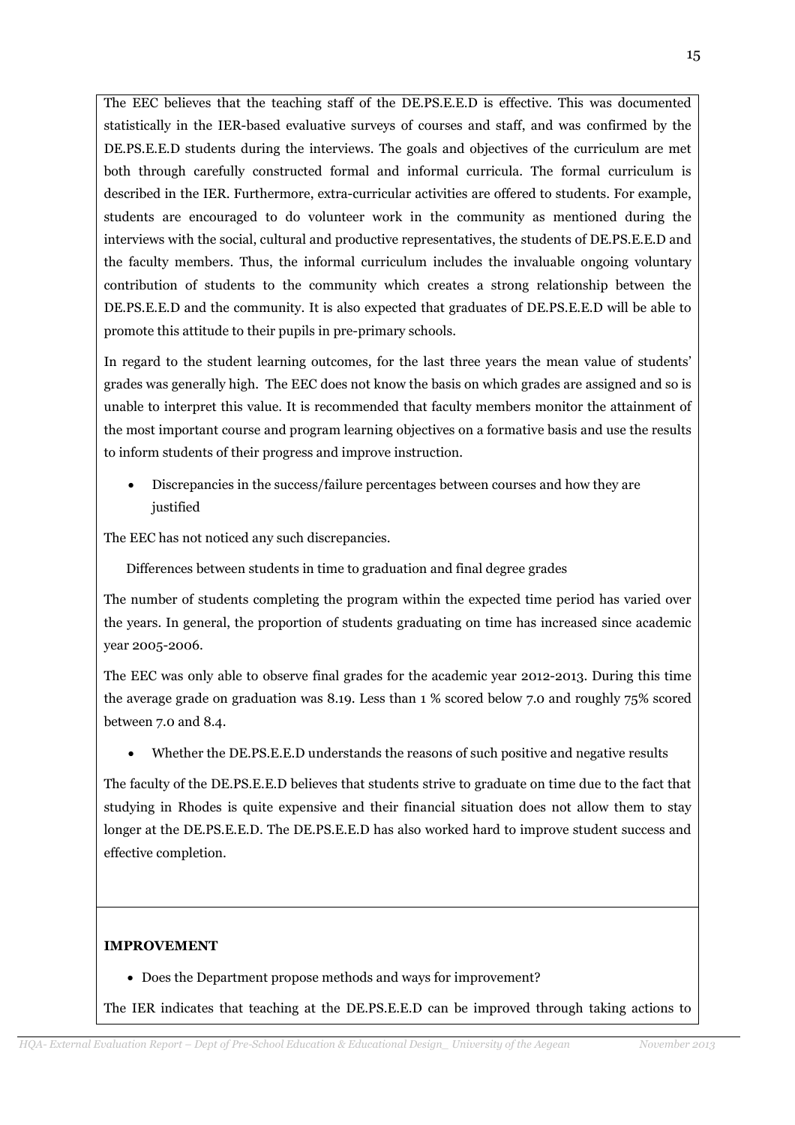The EEC believes that the teaching staff of the DE.PS.E.E.D is effective. This was documented statistically in the IER-based evaluative surveys of courses and staff, and was confirmed by the DE.PS.E.E.D students during the interviews. The goals and objectives of the curriculum are met both through carefully constructed formal and informal curricula. The formal curriculum is described in the IER. Furthermore, extra-curricular activities are offered to students. For example, students are encouraged to do volunteer work in the community as mentioned during the interviews with the social, cultural and productive representatives, the students of DE.PS.E.E.D and the faculty members. Thus, the informal curriculum includes the invaluable ongoing voluntary contribution of students to the community which creates a strong relationship between the DE.PS.E.E.D and the community. It is also expected that graduates of DE.PS.E.E.D will be able to promote this attitude to their pupils in pre-primary schools.

In regard to the student learning outcomes, for the last three years the mean value of students' grades was generally high. The EEC does not know the basis on which grades are assigned and so is unable to interpret this value. It is recommended that faculty members monitor the attainment of the most important course and program learning objectives on a formative basis and use the results to inform students of their progress and improve instruction.

• Discrepancies in the success/failure percentages between courses and how they are justified

The EEC has not noticed any such discrepancies.

Differences between students in time to graduation and final degree grades

The number of students completing the program within the expected time period has varied over the years. In general, the proportion of students graduating on time has increased since academic year 2005-2006.

The EEC was only able to observe final grades for the academic year 2012-2013. During this time the average grade on graduation was 8.19. Less than 1 % scored below 7.0 and roughly 75% scored between 7.0 and 8.4.

• Whether the DE.PS.E.E.D understands the reasons of such positive and negative results

The faculty of the DE.PS.E.E.D believes that students strive to graduate on time due to the fact that studying in Rhodes is quite expensive and their financial situation does not allow them to stay longer at the DE.PS.E.E.D. The DE.PS.E.E.D has also worked hard to improve student success and effective completion.

## IMPROVEMENT

• Does the Department propose methods and ways for improvement?

The IER indicates that teaching at the DE.PS.E.E.D can be improved through taking actions to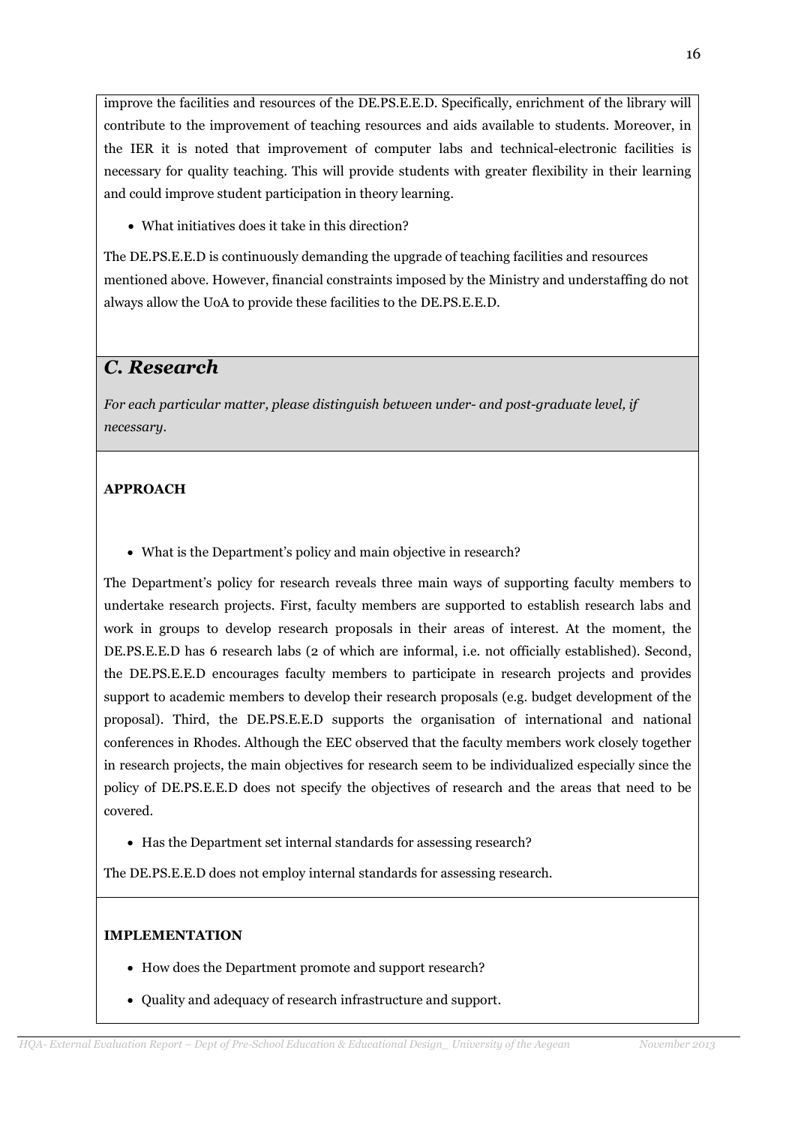improve the facilities and resources of the DE.PS.E.E.D. Specifically, enrichment of the library will contribute to the improvement of teaching resources and aids available to students. Moreover, in the IER it is noted that improvement of computer labs and technical-electronic facilities is necessary for quality teaching. This will provide students with greater flexibility in their learning and could improve student participation in theory learning.

• What initiatives does it take in this direction?

The DE.PS.E.E.D is continuously demanding the upgrade of teaching facilities and resources mentioned above. However, financial constraints imposed by the Ministry and understaffing do not always allow the UoA to provide these facilities to the DE.PS.E.E.D.

# C. Research

For each particular matter, please distinguish between under- and post-graduate level, if necessary.

# APPROACH

• What is the Department's policy and main objective in research?

The Department's policy for research reveals three main ways of supporting faculty members to undertake research projects. First, faculty members are supported to establish research labs and work in groups to develop research proposals in their areas of interest. At the moment, the DE.PS.E.E.D has 6 research labs (2 of which are informal, i.e. not officially established). Second, the DE.PS.E.E.D encourages faculty members to participate in research projects and provides support to academic members to develop their research proposals (e.g. budget development of the proposal). Third, the DE.PS.E.E.D supports the organisation of international and national conferences in Rhodes. Although the EEC observed that the faculty members work closely together in research projects, the main objectives for research seem to be individualized especially since the policy of DE.PS.E.E.D does not specify the objectives of research and the areas that need to be covered.

• Has the Department set internal standards for assessing research?

The DE.PS.E.E.D does not employ internal standards for assessing research.

## IMPLEMENTATION

- How does the Department promote and support research?
- Quality and adequacy of research infrastructure and support.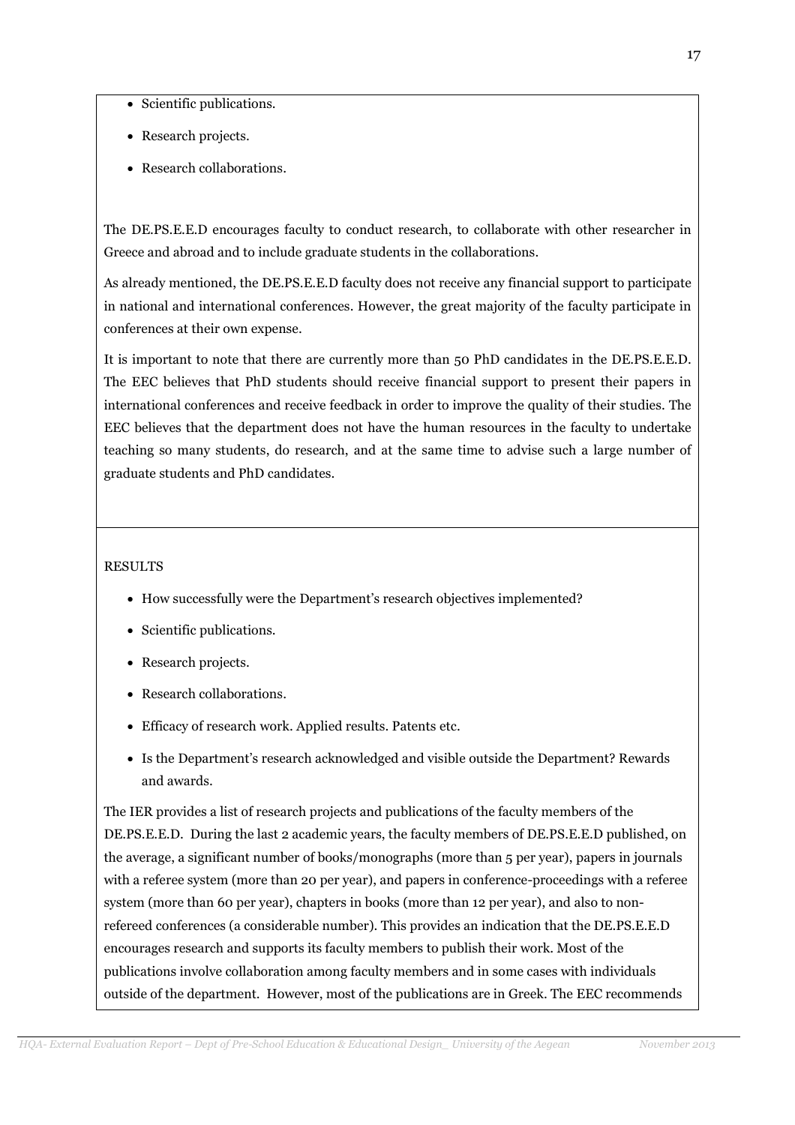- Scientific publications.
- Research projects.
- Research collaborations.

The DE.PS.E.E.D encourages faculty to conduct research, to collaborate with other researcher in Greece and abroad and to include graduate students in the collaborations.

As already mentioned, the DE.PS.E.E.D faculty does not receive any financial support to participate in national and international conferences. However, the great majority of the faculty participate in conferences at their own expense.

It is important to note that there are currently more than 50 PhD candidates in the DE.PS.E.E.D. The EEC believes that PhD students should receive financial support to present their papers in international conferences and receive feedback in order to improve the quality of their studies. The EEC believes that the department does not have the human resources in the faculty to undertake teaching so many students, do research, and at the same time to advise such a large number of graduate students and PhD candidates.

## RESULTS

- How successfully were the Department's research objectives implemented?
- Scientific publications.
- Research projects.
- Research collaborations.
- Efficacy of research work. Applied results. Patents etc.
- Is the Department's research acknowledged and visible outside the Department? Rewards and awards.

The IER provides a list of research projects and publications of the faculty members of the DE.PS.E.E.D. During the last 2 academic years, the faculty members of DE.PS.E.E.D published, on the average, a significant number of books/monographs (more than 5 per year), papers in journals with a referee system (more than 20 per year), and papers in conference-proceedings with a referee system (more than 60 per year), chapters in books (more than 12 per year), and also to nonrefereed conferences (a considerable number). This provides an indication that the DE.PS.E.E.D encourages research and supports its faculty members to publish their work. Most of the publications involve collaboration among faculty members and in some cases with individuals outside of the department. However, most of the publications are in Greek. The EEC recommends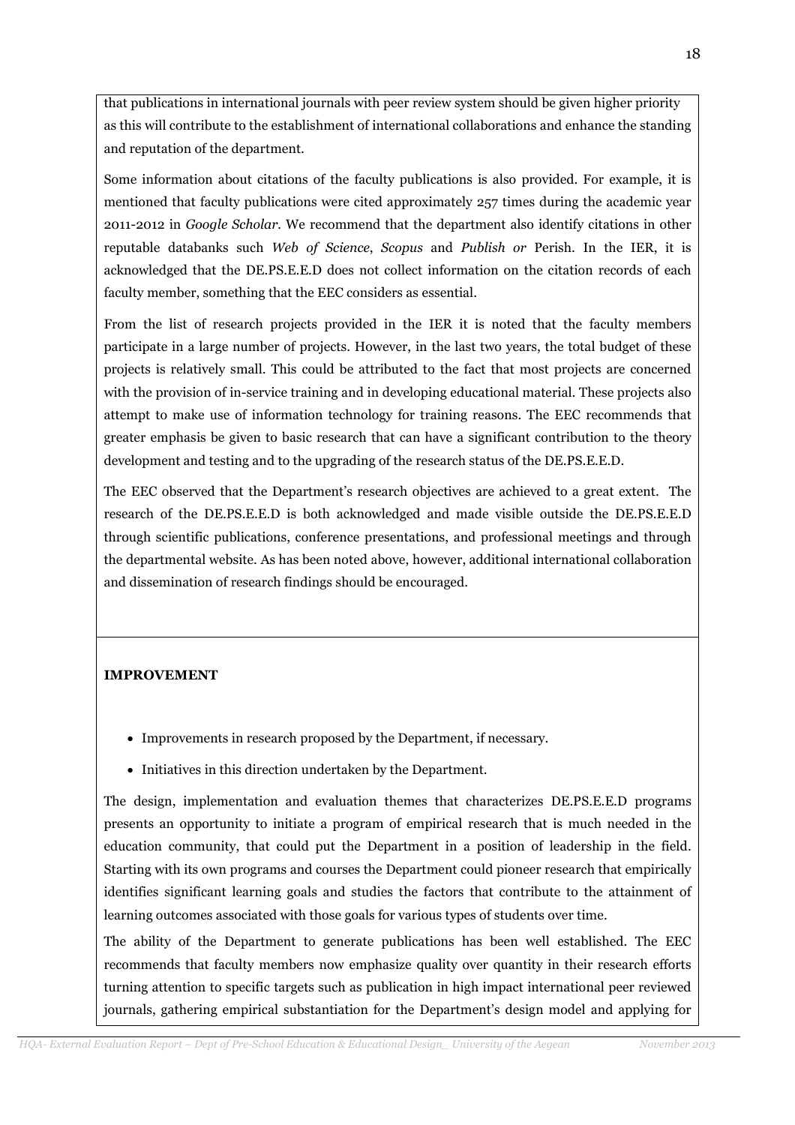that publications in international journals with peer review system should be given higher priority as this will contribute to the establishment of international collaborations and enhance the standing and reputation of the department.

Some information about citations of the faculty publications is also provided. For example, it is mentioned that faculty publications were cited approximately 257 times during the academic year 2011-2012 in Google Scholar. We recommend that the department also identify citations in other reputable databanks such Web of Science, Scopus and Publish or Perish. In the IER, it is acknowledged that the DE.PS.E.E.D does not collect information on the citation records of each faculty member, something that the EEC considers as essential.

From the list of research projects provided in the IER it is noted that the faculty members participate in a large number of projects. However, in the last two years, the total budget of these projects is relatively small. This could be attributed to the fact that most projects are concerned with the provision of in-service training and in developing educational material. These projects also attempt to make use of information technology for training reasons. The EEC recommends that greater emphasis be given to basic research that can have a significant contribution to the theory development and testing and to the upgrading of the research status of the DE.PS.E.E.D.

The EEC observed that the Department's research objectives are achieved to a great extent. The research of the DE.PS.E.E.D is both acknowledged and made visible outside the DE.PS.E.E.D through scientific publications, conference presentations, and professional meetings and through the departmental website. As has been noted above, however, additional international collaboration and dissemination of research findings should be encouraged.

# IMPROVEMENT

- Improvements in research proposed by the Department, if necessary.
- Initiatives in this direction undertaken by the Department.

The design, implementation and evaluation themes that characterizes DE.PS.E.E.D programs presents an opportunity to initiate a program of empirical research that is much needed in the education community, that could put the Department in a position of leadership in the field. Starting with its own programs and courses the Department could pioneer research that empirically identifies significant learning goals and studies the factors that contribute to the attainment of learning outcomes associated with those goals for various types of students over time.

The ability of the Department to generate publications has been well established. The EEC recommends that faculty members now emphasize quality over quantity in their research efforts turning attention to specific targets such as publication in high impact international peer reviewed journals, gathering empirical substantiation for the Department's design model and applying for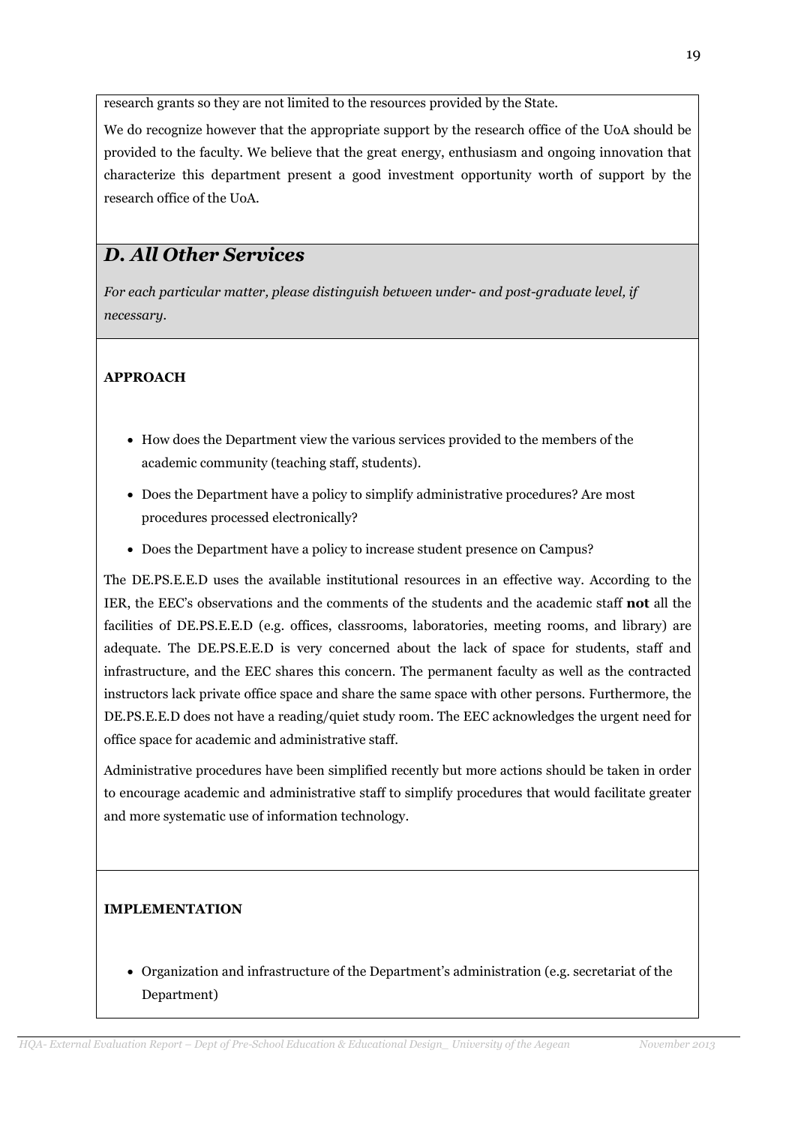research grants so they are not limited to the resources provided by the State.

We do recognize however that the appropriate support by the research office of the UoA should be provided to the faculty. We believe that the great energy, enthusiasm and ongoing innovation that characterize this department present a good investment opportunity worth of support by the research office of the UoA.

# D. All Other Services

For each particular matter, please distinguish between under- and post-graduate level, if necessary.

# APPROACH

- How does the Department view the various services provided to the members of the academic community (teaching staff, students).
- Does the Department have a policy to simplify administrative procedures? Are most procedures processed electronically?
- Does the Department have a policy to increase student presence on Campus?

The DE.PS.E.E.D uses the available institutional resources in an effective way. According to the IER, the EEC's observations and the comments of the students and the academic staff not all the facilities of DE.PS.E.E.D (e.g. offices, classrooms, laboratories, meeting rooms, and library) are adequate. The DE.PS.E.E.D is very concerned about the lack of space for students, staff and infrastructure, and the EEC shares this concern. The permanent faculty as well as the contracted instructors lack private office space and share the same space with other persons. Furthermore, the DE.PS.E.E.D does not have a reading/quiet study room. The EEC acknowledges the urgent need for office space for academic and administrative staff.

Administrative procedures have been simplified recently but more actions should be taken in order to encourage academic and administrative staff to simplify procedures that would facilitate greater and more systematic use of information technology.

# IMPLEMENTATION

• Organization and infrastructure of the Department's administration (e.g. secretariat of the Department)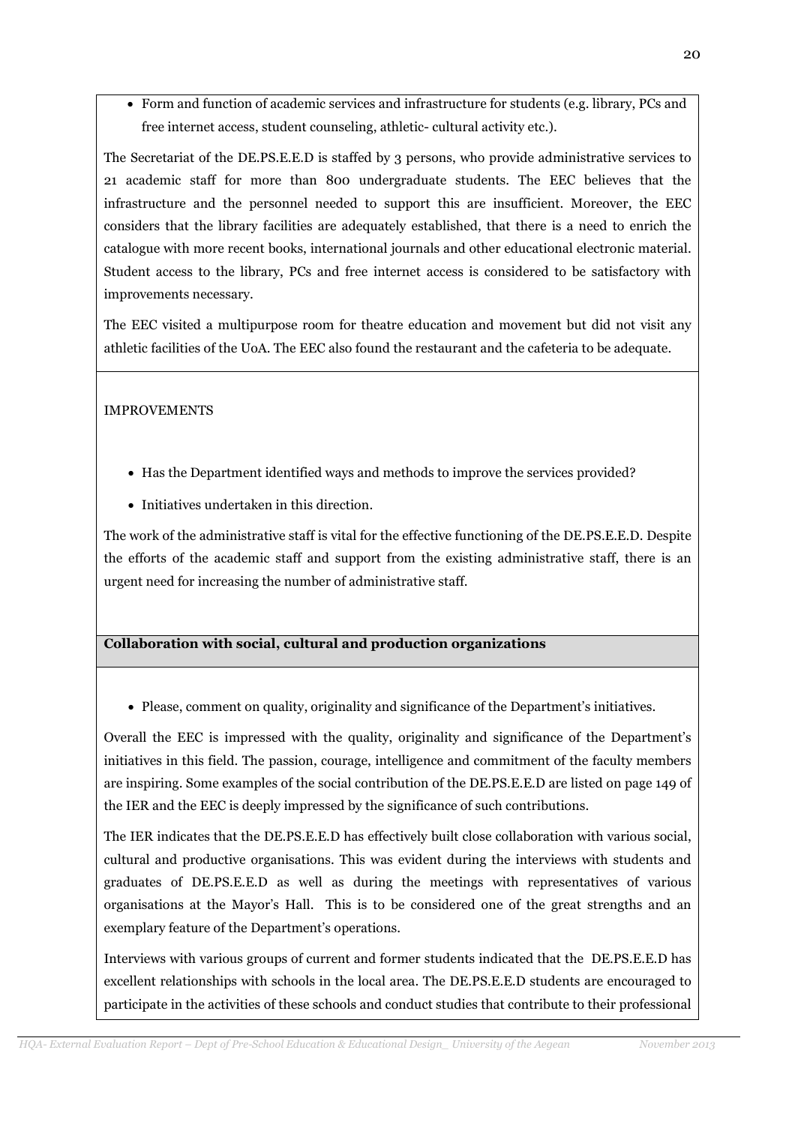• Form and function of academic services and infrastructure for students (e.g. library, PCs and free internet access, student counseling, athletic- cultural activity etc.).

The Secretariat of the DE.PS.E.E.D is staffed by 3 persons, who provide administrative services to 21 academic staff for more than 800 undergraduate students. The EEC believes that the infrastructure and the personnel needed to support this are insufficient. Moreover, the EEC considers that the library facilities are adequately established, that there is a need to enrich the catalogue with more recent books, international journals and other educational electronic material. Student access to the library, PCs and free internet access is considered to be satisfactory with improvements necessary.

The EEC visited a multipurpose room for theatre education and movement but did not visit any athletic facilities of the UoA. The EEC also found the restaurant and the cafeteria to be adequate.

## IMPROVEMENTS

- Has the Department identified ways and methods to improve the services provided?
- Initiatives undertaken in this direction.

The work of the administrative staff is vital for the effective functioning of the DE.PS.E.E.D. Despite the efforts of the academic staff and support from the existing administrative staff, there is an urgent need for increasing the number of administrative staff.

# Collaboration with social, cultural and production organizations

• Please, comment on quality, originality and significance of the Department's initiatives.

Overall the EEC is impressed with the quality, originality and significance of the Department's initiatives in this field. The passion, courage, intelligence and commitment of the faculty members are inspiring. Some examples of the social contribution of the DE.PS.E.E.D are listed on page 149 of the IER and the EEC is deeply impressed by the significance of such contributions.

The IER indicates that the DE.PS.E.E.D has effectively built close collaboration with various social, cultural and productive organisations. This was evident during the interviews with students and graduates of DE.PS.E.E.D as well as during the meetings with representatives of various organisations at the Mayor's Hall. This is to be considered one of the great strengths and an exemplary feature of the Department's operations.

Interviews with various groups of current and former students indicated that the DE.PS.E.E.D has excellent relationships with schools in the local area. The DE.PS.E.E.D students are encouraged to participate in the activities of these schools and conduct studies that contribute to their professional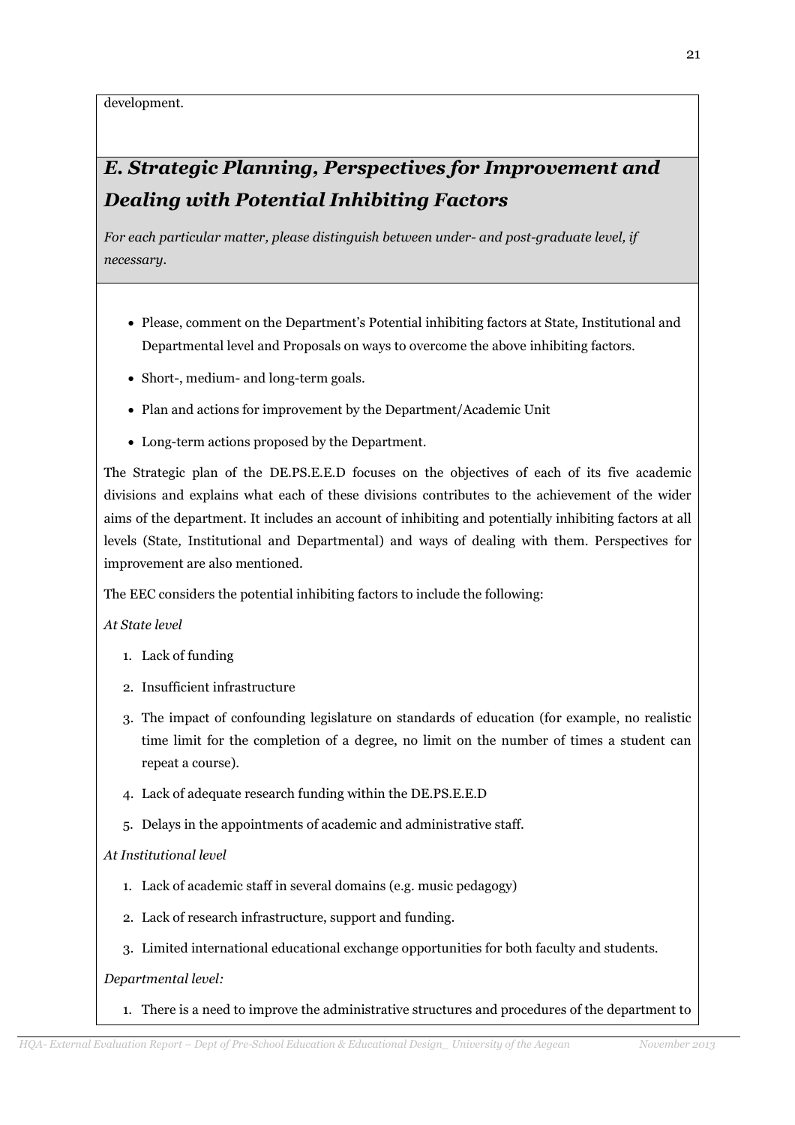development.

# E. Strategic Planning, Perspectives for Improvement and Dealing with Potential Inhibiting Factors

For each particular matter, please distinguish between under- and post-graduate level, if necessary.

- Please, comment on the Department's Potential inhibiting factors at State, Institutional and Departmental level and Proposals on ways to overcome the above inhibiting factors.
- Short-, medium- and long-term goals.
- Plan and actions for improvement by the Department/Academic Unit
- Long-term actions proposed by the Department.

The Strategic plan of the DE.PS.E.E.D focuses on the objectives of each of its five academic divisions and explains what each of these divisions contributes to the achievement of the wider aims of the department. It includes an account of inhibiting and potentially inhibiting factors at all levels (State, Institutional and Departmental) and ways of dealing with them. Perspectives for improvement are also mentioned.

The EEC considers the potential inhibiting factors to include the following:

### At State level

- 1. Lack of funding
- 2. Insufficient infrastructure
- 3. The impact of confounding legislature on standards of education (for example, no realistic time limit for the completion of a degree, no limit on the number of times a student can repeat a course).
- 4. Lack of adequate research funding within the DE.PS.E.E.D
- 5. Delays in the appointments of academic and administrative staff.

## At Institutional level

- 1. Lack of academic staff in several domains (e.g. music pedagogy)
- 2. Lack of research infrastructure, support and funding.
- 3. Limited international educational exchange opportunities for both faculty and students.

## Departmental level:

1. There is a need to improve the administrative structures and procedures of the department to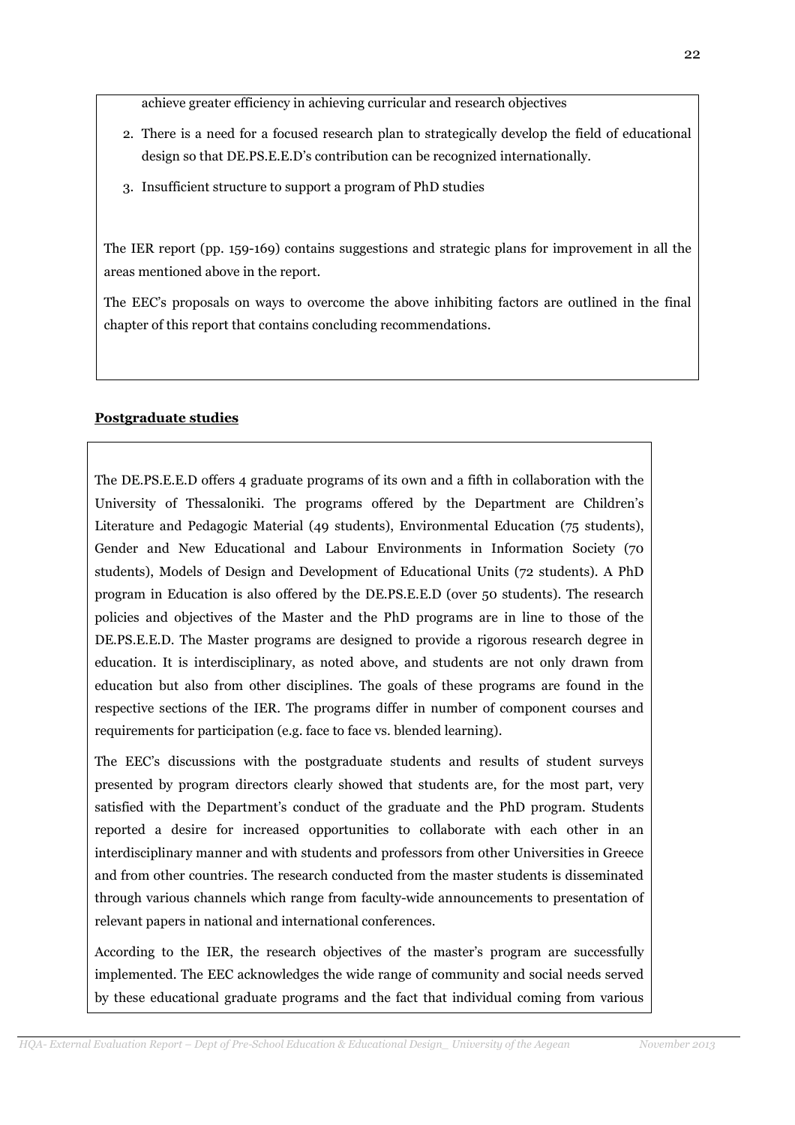achieve greater efficiency in achieving curricular and research objectives

- 2. There is a need for a focused research plan to strategically develop the field of educational design so that DE.PS.E.E.D's contribution can be recognized internationally.
- 3. Insufficient structure to support a program of PhD studies

The IER report (pp. 159-169) contains suggestions and strategic plans for improvement in all the areas mentioned above in the report.

The EEC's proposals on ways to overcome the above inhibiting factors are outlined in the final chapter of this report that contains concluding recommendations.

# Postgraduate studies

The DE.PS.E.E.D offers 4 graduate programs of its own and a fifth in collaboration with the University of Thessaloniki. The programs offered by the Department are Children's Literature and Pedagogic Material (49 students), Environmental Education (75 students), Gender and New Educational and Labour Environments in Information Society (70 students), Models of Design and Development of Educational Units (72 students). A PhD program in Education is also offered by the DE.PS.E.E.D (over 50 students). The research policies and objectives of the Master and the PhD programs are in line to those of the DE.PS.E.E.D. The Master programs are designed to provide a rigorous research degree in education. It is interdisciplinary, as noted above, and students are not only drawn from education but also from other disciplines. The goals of these programs are found in the respective sections of the IER. The programs differ in number of component courses and requirements for participation (e.g. face to face vs. blended learning).

The EEC's discussions with the postgraduate students and results of student surveys presented by program directors clearly showed that students are, for the most part, very satisfied with the Department's conduct of the graduate and the PhD program. Students reported a desire for increased opportunities to collaborate with each other in an interdisciplinary manner and with students and professors from other Universities in Greece and from other countries. The research conducted from the master students is disseminated through various channels which range from faculty-wide announcements to presentation of relevant papers in national and international conferences.

According to the IER, the research objectives of the master's program are successfully implemented. The EEC acknowledges the wide range of community and social needs served by these educational graduate programs and the fact that individual coming from various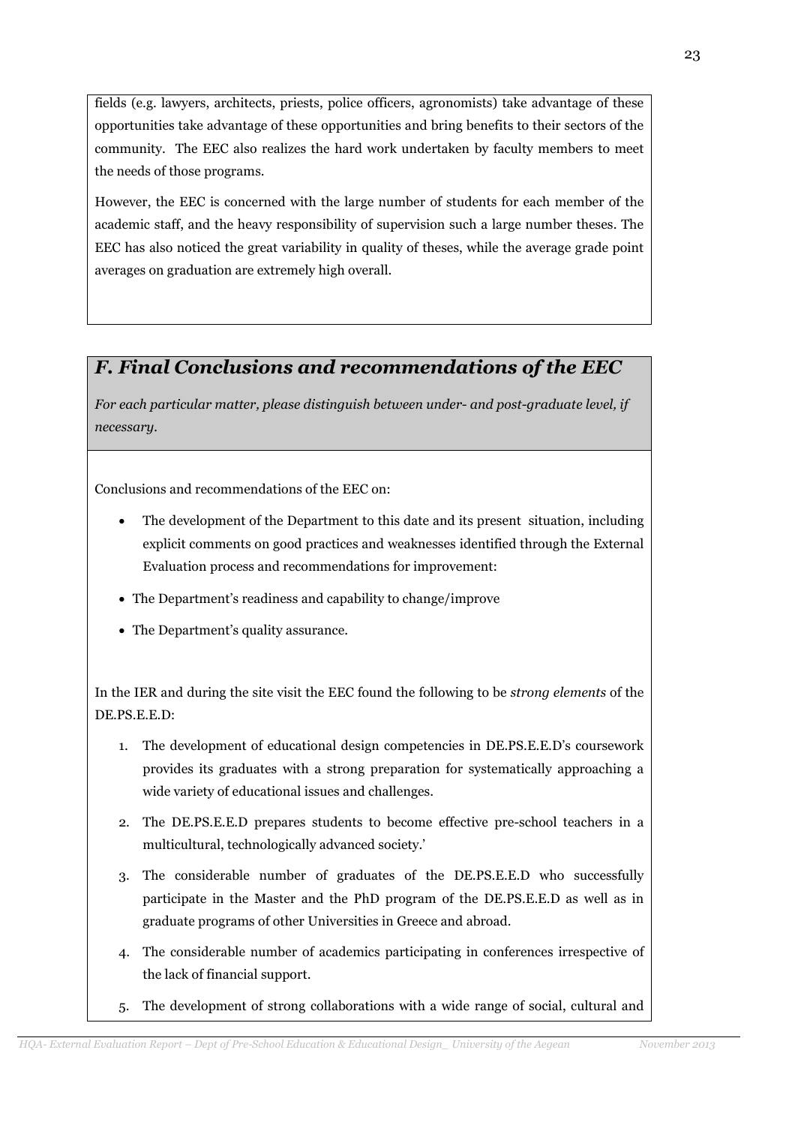fields (e.g. lawyers, architects, priests, police officers, agronomists) take advantage of these opportunities take advantage of these opportunities and bring benefits to their sectors of the community. The EEC also realizes the hard work undertaken by faculty members to meet the needs of those programs.

However, the EEC is concerned with the large number of students for each member of the academic staff, and the heavy responsibility of supervision such a large number theses. The EEC has also noticed the great variability in quality of theses, while the average grade point averages on graduation are extremely high overall.

# F. Final Conclusions and recommendations of the EEC

For each particular matter, please distinguish between under- and post-graduate level, if necessary.

Conclusions and recommendations of the EEC on:

- The development of the Department to this date and its present situation, including explicit comments on good practices and weaknesses identified through the External Evaluation process and recommendations for improvement:
- The Department's readiness and capability to change/improve
- The Department's quality assurance.

In the IER and during the site visit the EEC found the following to be strong elements of the DE.PS.E.E.D:

- 1. The development of educational design competencies in DE.PS.E.E.D's coursework provides its graduates with a strong preparation for systematically approaching a wide variety of educational issues and challenges.
- 2. The DE.PS.E.E.D prepares students to become effective pre-school teachers in a multicultural, technologically advanced society.'
- 3. The considerable number of graduates of the DE.PS.E.E.D who successfully participate in the Master and the PhD program of the DE.PS.E.E.D as well as in graduate programs of other Universities in Greece and abroad.
- 4. The considerable number of academics participating in conferences irrespective of the lack of financial support.
- 5. The development of strong collaborations with a wide range of social, cultural and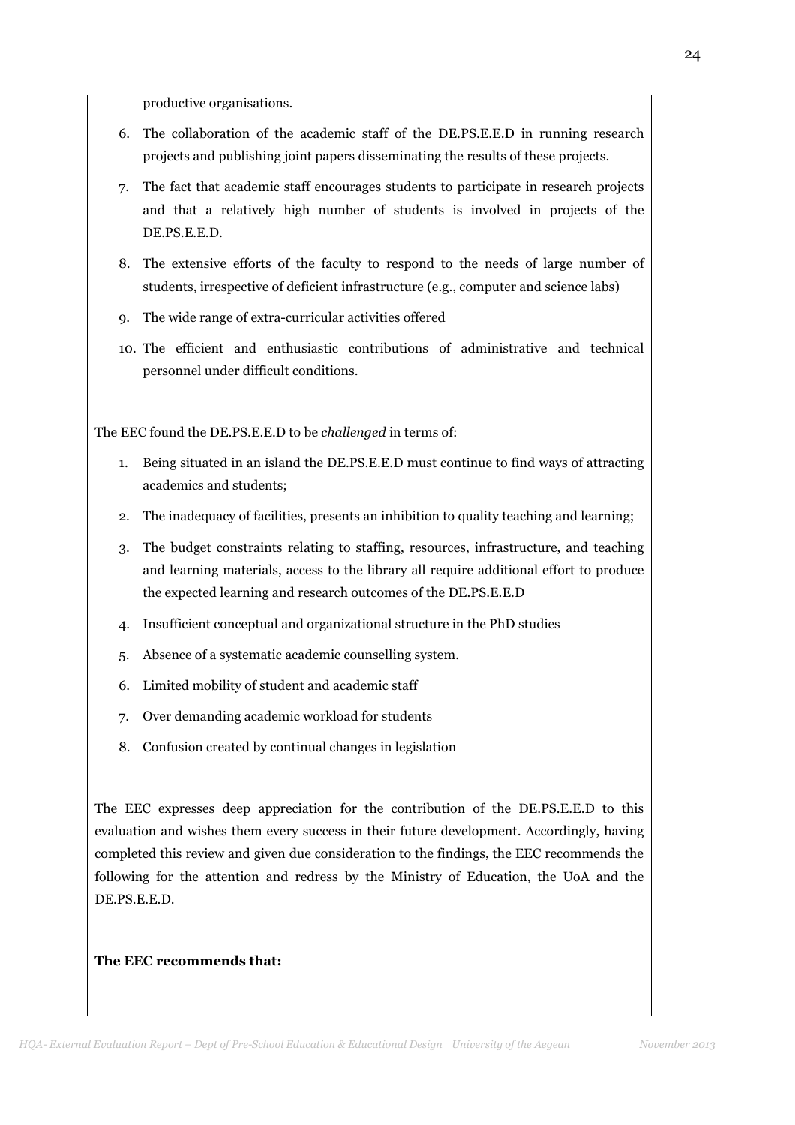productive organisations.

- 6. The collaboration of the academic staff of the DE.PS.E.E.D in running research projects and publishing joint papers disseminating the results of these projects.
- 7. The fact that academic staff encourages students to participate in research projects and that a relatively high number of students is involved in projects of the DE.PS.E.E.D.
- 8. The extensive efforts of the faculty to respond to the needs of large number of students, irrespective of deficient infrastructure (e.g., computer and science labs)
- 9. The wide range of extra-curricular activities offered
- 10. The efficient and enthusiastic contributions of administrative and technical personnel under difficult conditions.

The EEC found the DE.PS.E.E.D to be challenged in terms of:

- 1. Being situated in an island the DE.PS.E.E.D must continue to find ways of attracting academics and students;
- 2. The inadequacy of facilities, presents an inhibition to quality teaching and learning;
- 3. The budget constraints relating to staffing, resources, infrastructure, and teaching and learning materials, access to the library all require additional effort to produce the expected learning and research outcomes of the DE.PS.E.E.D
- 4. Insufficient conceptual and organizational structure in the PhD studies
- 5. Absence of a systematic academic counselling system.
- 6. Limited mobility of student and academic staff
- 7. Over demanding academic workload for students
- 8. Confusion created by continual changes in legislation

The EEC expresses deep appreciation for the contribution of the DE.PS.E.E.D to this evaluation and wishes them every success in their future development. Accordingly, having completed this review and given due consideration to the findings, the EEC recommends the following for the attention and redress by the Ministry of Education, the UoA and the DE.PS.E.E.D.

#### The EEC recommends that: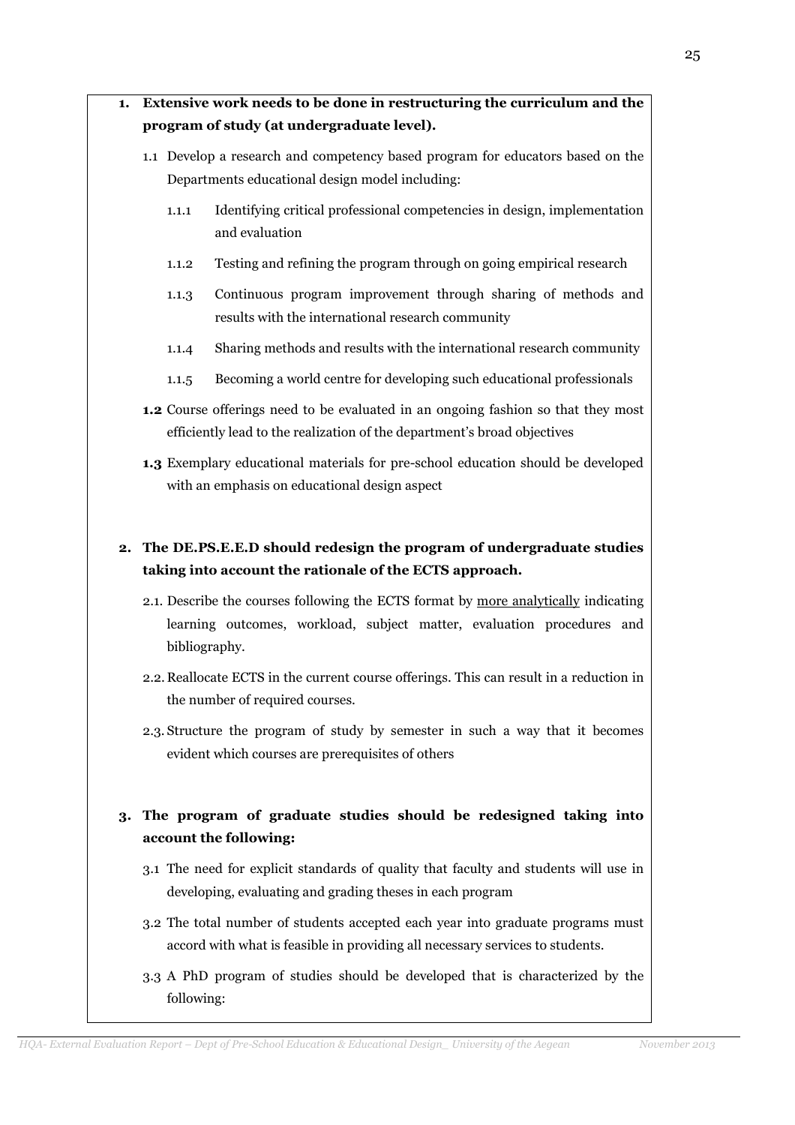|    | 1.1.1                                                                                                                           | Identifying critical professional competencies in design, implementation<br>and evaluation                                                                       |  |
|----|---------------------------------------------------------------------------------------------------------------------------------|------------------------------------------------------------------------------------------------------------------------------------------------------------------|--|
|    | 1.1.2                                                                                                                           | Testing and refining the program through on going empirical research                                                                                             |  |
|    | 1.1.3                                                                                                                           | Continuous program improvement through sharing of methods and<br>results with the international research community                                               |  |
|    | 1.1.4                                                                                                                           | Sharing methods and results with the international research community                                                                                            |  |
|    | 1.1.5                                                                                                                           | Becoming a world centre for developing such educational professionals                                                                                            |  |
|    |                                                                                                                                 | 1.2 Course offerings need to be evaluated in an ongoing fashion so that they most<br>efficiently lead to the realization of the department's broad objectives    |  |
|    |                                                                                                                                 | 1.3 Exemplary educational materials for pre-school education should be developed<br>with an emphasis on educational design aspect                                |  |
| 2. | The DE.PS.E.E.D should redesign the program of undergraduate studies<br>taking into account the rationale of the ECTS approach. |                                                                                                                                                                  |  |
|    | bibliography.                                                                                                                   | 2.1. Describe the courses following the ECTS format by more analytically indicating<br>learning outcomes, workload, subject matter, evaluation procedures and    |  |
|    |                                                                                                                                 | 2.2. Reallocate ECTS in the current course offerings. This can result in a reduction in<br>the number of required courses.                                       |  |
|    |                                                                                                                                 | 2.3. Structure the program of study by semester in such a way that it becomes<br>evident which courses are prerequisites of others                               |  |
| 3. |                                                                                                                                 | The program of graduate studies should be redesigned taking into<br>account the following:                                                                       |  |
|    |                                                                                                                                 | 3.1 The need for explicit standards of quality that faculty and students will use in<br>developing, evaluating and grading theses in each program                |  |
|    |                                                                                                                                 | 3.2 The total number of students accepted each year into graduate programs must<br>accord with what is feasible in providing all necessary services to students. |  |
|    | following:                                                                                                                      | 3.3 A PhD program of studies should be developed that is characterized by the                                                                                    |  |

# 1. Extensive work needs to be done in restructuring the curriculum and the program of study (at undergraduate level).

Departments educational design model including:

1.1 Develop a research and competency based program for educators based on the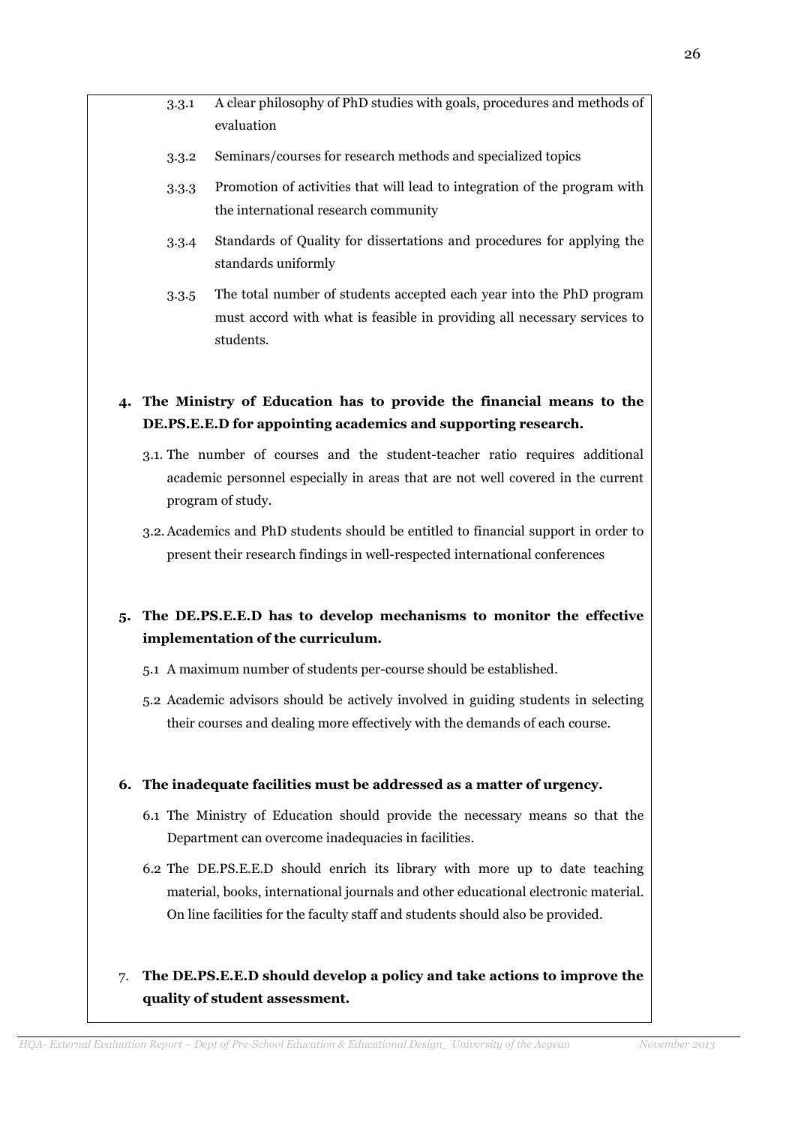- 3.3.1 A clear philosophy of PhD studies with goals, procedures and methods of evaluation
- 3.3.2 Seminars/courses for research methods and specialized topics
- 3.3.3 Promotion of activities that will lead to integration of the program with the international research community
- 3.3.4 Standards of Quality for dissertations and procedures for applying the standards uniformly
- 3.3.5 The total number of students accepted each year into the PhD program must accord with what is feasible in providing all necessary services to students.
- 4. The Ministry of Education has to provide the financial means to the DE.PS.E.E.D for appointing academics and supporting research.
	- 3.1. The number of courses and the student-teacher ratio requires additional academic personnel especially in areas that are not well covered in the current program of study.
	- 3.2.Academics and PhD students should be entitled to financial support in order to present their research findings in well-respected international conferences

# 5. The DE.PS.E.E.D has to develop mechanisms to monitor the effective implementation of the curriculum.

- 5.1 A maximum number of students per-course should be established.
- 5.2 Academic advisors should be actively involved in guiding students in selecting their courses and dealing more effectively with the demands of each course.

### 6. The inadequate facilities must be addressed as a matter of urgency.

- 6.1 The Ministry of Education should provide the necessary means so that the Department can overcome inadequacies in facilities.
- 6.2 The DE.PS.E.E.D should enrich its library with more up to date teaching material, books, international journals and other educational electronic material. On line facilities for the faculty staff and students should also be provided.

# 7. The DE.PS.E.E.D should develop a policy and take actions to improve the quality of student assessment.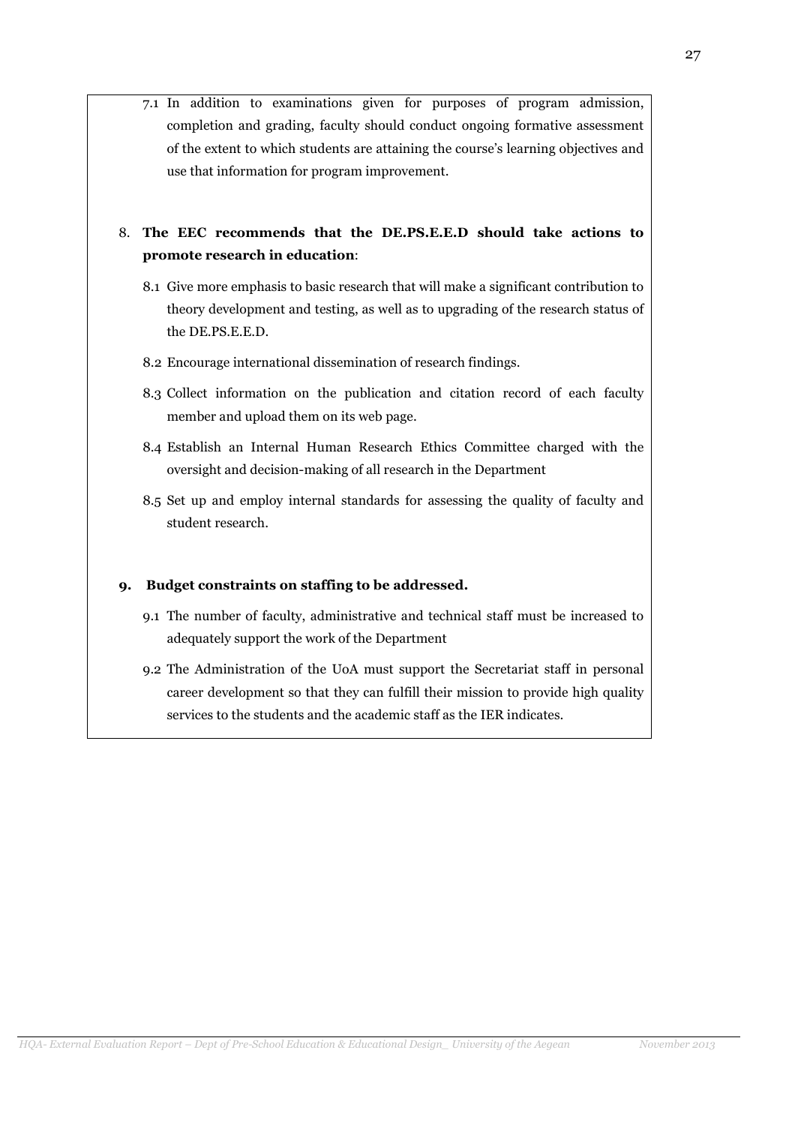7.1 In addition to examinations given for purposes of program admission, completion and grading, faculty should conduct ongoing formative assessment of the extent to which students are attaining the course's learning objectives and use that information for program improvement.

8. The EEC recommends that the DE.PS.E.E.D should take actions to promote research in education:

- 8.1 Give more emphasis to basic research that will make a significant contribution to theory development and testing, as well as to upgrading of the research status of the DE.PS.E.E.D.
- 8.2 Encourage international dissemination of research findings.
- 8.3 Collect information on the publication and citation record of each faculty member and upload them on its web page.
- 8.4 Establish an Internal Human Research Ethics Committee charged with the oversight and decision-making of all research in the Department
- 8.5 Set up and employ internal standards for assessing the quality of faculty and student research.

### 9. Budget constraints on staffing to be addressed.

- 9.1 The number of faculty, administrative and technical staff must be increased to adequately support the work of the Department
- 9.2 The Administration of the UoA must support the Secretariat staff in personal career development so that they can fulfill their mission to provide high quality services to the students and the academic staff as the IER indicates.